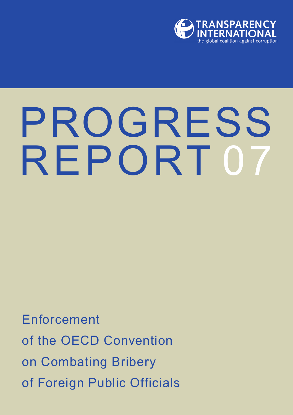

# PROGRESS REPORT 07

Enforcement of the OECD Convention on Combating Bribery of Foreign Public Officials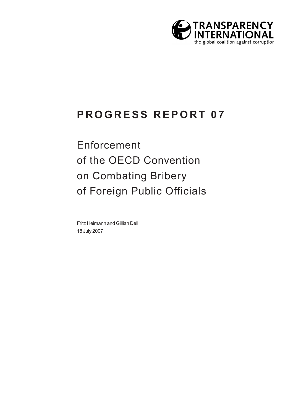

### **PROGRESS REPORT 07**

Enforcement of the OECD Convention on Combating Bribery of Foreign Public Officials

Fritz Heimann and Gillian Dell 18 July 2007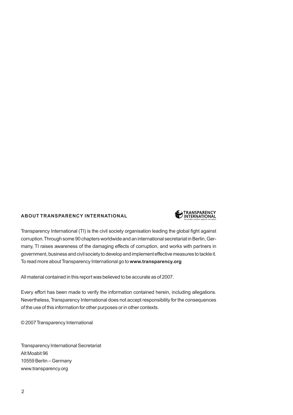#### **ABOUT TRANSPARENCY INTERNATIONAL**



Transparency International (TI) is the civil society organisation leading the global fight against corruption.Through some 90 chapters worldwide and an international secretariat in Berlin, Germany, TI raises awareness of the damaging effects of corruption, and works with partners in government, business and civil society to develop and implement effective measures to tackle it. To read more about Transparency International go to **www.transparency.org**

All material contained in this report was believed to be accurate as of 2007.

Every effort has been made to verify the information contained herein, including allegations. Nevertheless, Transparency International does not accept responsibility for the consequences of the use of this information for other purposes or in other contexts.

© 2007 Transparency International

Transparency International Secretariat Alt Moabit 96 10559 Berlin – Germany www.transparency.org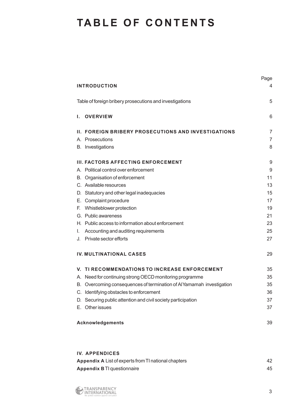### **TABLE OF CONTENTS**

|                                                                       | Page             |
|-----------------------------------------------------------------------|------------------|
| <b>INTRODUCTION</b>                                                   | 4                |
| Table of foreign bribery prosecutions and investigations              | 5                |
| <b>OVERVIEW</b><br>Ι.                                                 | 6                |
| <b>II. FOREIGN BRIBERY PROSECUTIONS AND INVESTIGATIONS</b>            | 7                |
| A. Prosecutions                                                       | 7                |
| B. Investigations                                                     | 8                |
| III. FACTORS AFFECTING ENFORCEMENT                                    | $\boldsymbol{9}$ |
| A. Political control over enforcement                                 | $9\,$            |
| B. Organisation of enforcement                                        | 11               |
| C. Available resources                                                | 13               |
| D. Statutory and other legal inadequacies                             | 15               |
| E. Complaint procedure                                                | 17               |
| Whistleblower protection<br>E.                                        | 19               |
| G. Public awareness                                                   | 21               |
| H. Public access to information about enforcement                     | 23               |
| Accounting and auditing requirements<br>I.                            | 25               |
| Private sector efforts<br>J.                                          | 27               |
| <b>IV. MULTINATIONAL CASES</b>                                        | 29               |
| TI RECOMMENDATIONS TO INCREASE ENFORCEMENT<br>V.                      | 35               |
| A. Need for continuing strong OECD monitoring programme               | 35               |
| B. Overcoming consequences of termination of Al Yamamah investigation | 35               |
| C. Identifying obstacles to enforcement                               | 36               |
| D. Securing public attention and civil society participation          | 37               |
| E. Other issues                                                       | 37               |
| <b>Acknowledgements</b>                                               | 39               |

#### **IV. APPENDICES** Appendix A List of experts from TI national chapters **Appendix A List of experts** 42 **Appendix B** TI questionnaire 45

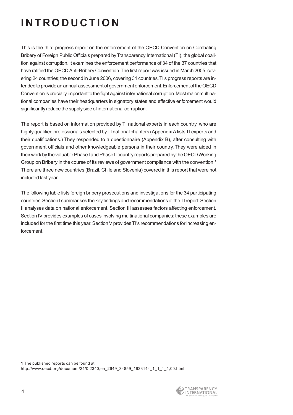# **INTRODUCTION**

This is the third progress report on the enforcement of the OECD Convention on Combating Bribery of Foreign Public Officials prepared by Transparency International (TI), the global coalition against corruption. It examines the enforcement performance of 34 of the 37 countries that have ratified the OECD Anti-Bribery Convention.The first report was issued in March 2005, covering 24 countries; the second in June 2006, covering 31 countries.TI's progress reports are intended to provide an annual assessment of government enforcement.Enforcement of the OECD Convention is crucially important to the fight against international corruption. Most major multinational companies have their headquarters in signatory states and effective enforcement would significantly reduce the supply side of international corruption.

The report is based on information provided by TI national experts in each country, who are highly qualified professionals selected by TI national chapters (Appendix A lists TI experts and their qualifications.) They responded to a questionnaire (Appendix B), after consulting with government officials and other knowledgeable persons in their country. They were aided in their work by the valuable Phase I and Phase II country reports prepared by the OECD Working Group on Bribery in the course of its reviews of government compliance with the convention.**<sup>1</sup>** There are three new countries (Brazil, Chile and Slovenia) covered in this report that were not included last year.

The following table lists foreign bribery prosecutions and investigations for the 34 participating countries.Section I summarises the key findings and recommendations of the TI report.Section II analyses data on national enforcement. Section III assesses factors affecting enforcement. Section IV provides examples of cases involving multinational companies; these examples are included for the first time this year. Section V provides TI's recommendations for increasing enforcement.

**1** The published reports can be found at: http://www.oecd.org/document/24/0,2340,en\_2649\_34859\_1933144\_1\_1\_1\_1,00.html

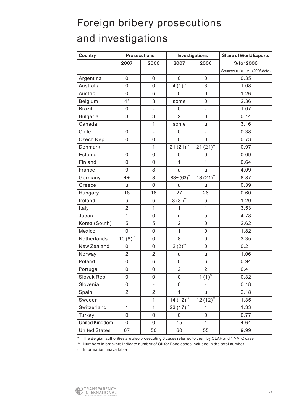# Foreign bribery prosecutions and investigations

| Country              | <b>Prosecutions</b> |                          | Investigations   |                | <b>Share of World Exports</b> |
|----------------------|---------------------|--------------------------|------------------|----------------|-------------------------------|
|                      | 2007                | 2006                     | 2007             | 2006           | % for 2006                    |
|                      |                     |                          |                  |                | Source: OECD/IMF (2006 data)  |
| Argentina            | $\mathsf{O}\xspace$ | $\mathsf 0$              | $\mathbf 0$      | 0              | 0.35                          |
| Australia            | $\mathsf{O}\xspace$ | $\mathbf 0$              | $4(1)$ **        | $\overline{3}$ | 1.08                          |
| Austria              | $\mathsf{O}\xspace$ | u                        | $\mathbf 0$      | 0              | 1.26                          |
| Belgium              | $4*$                | 3                        | some             | $\mathsf 0$    | 2.36                          |
| <b>Brazil</b>        | $\mathbf 0$         | $\blacksquare$           | $\mathbf 0$      | $\frac{1}{2}$  | 1.07                          |
| <b>Bulgaria</b>      | 3                   | $\,$ 3 $\,$              | $\overline{2}$   | 0              | 0.14                          |
| Canada               | $\mathbf{1}$        | $\overline{1}$           | some             | u              | 3.16                          |
| Chile                | $\mathsf{O}\xspace$ | $\blacksquare$           | 0                | $\blacksquare$ | 0.38                          |
| Czech Rep.           | $\mathsf{O}\xspace$ | $\mathsf{O}\xspace$      | $\mathbf 0$      | $\mathsf 0$    | 0.73                          |
| Denmark              | $\mathbf{1}$        | $\overline{1}$           | $21(21)$ **      | $21(21)$ **    | 0.97                          |
| Estonia              | $\mathbf 0$         | $\mathbf 0$              | 0                | $\mathbf 0$    | 0.09                          |
| Finland              | $\mathbf 0$         | $\mathbf 0$              | $\mathbf{1}$     | $\mathbf{1}$   | 0.64                          |
| France               | 9                   | 8                        | u                | u              | 4.09                          |
| Germany              | $4+$                | 3                        | $83 + (63)^{**}$ | 43 $(21)$ **   | 8.87                          |
| Greece               | u                   | $\mathbf 0$              | u                | <b>u</b>       | 0.39                          |
| Hungary              | 18                  | 18                       | 27               | 26             | 0.60                          |
| Ireland              | u                   | $\mathsf{u}$             | $3(3)^{**}$      | u              | 1.20                          |
| Italy                | $\overline{2}$      | 1                        | $\mathbf{1}$     | $\mathbf{1}$   | 3.53                          |
| Japan                | $\mathbf{1}$        | $\mathsf{O}\xspace$      | u                | u              | 4.78                          |
| Korea (South)        | 5                   | 5                        | $\overline{2}$   | 0              | 2.62                          |
| Mexico               | $\mathbf 0$         | $\mathsf{O}\xspace$      | $\mathbf{1}$     | $\mathsf 0$    | 1.82                          |
| Netherlands          | $10(8)$ **          | $\mathsf 0$              | 8                | 0              | 3.35                          |
| New Zealand          | $\mathbf 0$         | $\mathsf{O}\xspace$      | $2(2)$ **        | $\mathbf 0$    | 0.21                          |
| Norway               | $\overline{2}$      | $\overline{2}$           | u                | u              | 1.06                          |
| Poland               | $\mathsf{O}\xspace$ | U                        | $\mathsf 0$      | u              | 0.94                          |
| Portugal             | $\mathsf{O}\xspace$ | $\mathbf 0$              | $\overline{2}$   | $\overline{2}$ | 0.41                          |
| Slovak Rep.          | $\mathbf 0$         | $\mathsf 0$              | 0                | $1(1)^{**}$    | 0.32                          |
| Slovenia             | $\mathbf 0$         | $\overline{\phantom{0}}$ | $\mathbf 0$      |                | 0.18                          |
| Spain                | $\overline{2}$      | $\overline{2}$           | $\mathbf{1}$     | u              | 2.18                          |
| Sweden               | $\overline{1}$      | $\mathbf{1}$             | $14(12)$ **      | $12(12)$ **    | 1.35                          |
| Switzerland          | $\mathbf{1}$        | $\mathbf{1}$             | $23(17)$ **      | 4              | 1.33                          |
| Turkey               | $\mathsf 0$         | 0                        | 0                | $\mathsf 0$    | 0.77                          |
| United Kingdom       | $\mathbf 0$         | $\mathbf 0$              | 15               | $\overline{4}$ | 4.64                          |
| <b>United States</b> | 67                  | 50                       | 60               | 55             | 9.99                          |

\* The Belgian authorities are also prosecuting 6 cases referred to them by OLAF and 1 NATO case

\*\* Numbers in brackets indicate number of Oil for Food cases included in the total number

u Information unavailable

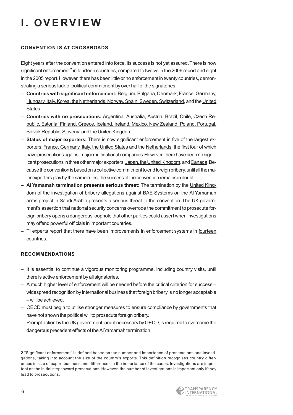# **I. OVERVIEW**

#### **CONVENTION IS AT CROSSROADS**

Eight years after the convention entered into force, its success is not yet assured.There is now significant enforcement<sup>2</sup> in fourteen countries, compared to twelve in the 2006 report and eight in the 2005 report. However, there has been little or no enforcement in twenty countries, demonstrating a serious lack of political commitment by over half of the signatories.

- **Countries with significant enforcement:** Belgium, Bulgaria, Denmark, France, Germany, Hungary, Italy, Korea, the Netherlands, Norway, Spain, Sweden, Switzerland, and the United States.
- **Countries with no prosecutions:** Argentina, Australia, Austria, Brazil, Chile, Czech Republic, Estonia, Finland, Greece, Iceland, Ireland, Mexico, New Zealand, Poland, Portugal, Slovak Republic, Slovenia and the United Kingdom.
- **Status of major exporters:** There is now significant enforcement in five of the largest exporters: France, Germany, Italy, the United States and the Netherlands, the first four of which have prosecutions against major multinational companies.However, there have been no significant prosecutions in three other major exporters: Japan, the United Kingdom, and Canada. Because the convention is based on a collective commitment to end foreign bribery, until all the major exporters play by the same rules, the success of the convention remains in doubt.
- **Al Yamamah termination presents serious threat:** The termination by the United Kingdom of the investigation of bribery allegations against BAE Systems on the Al Yamamah arms project in Saudi Arabia presents a serious threat to the convention. The UK government's assertion that national security concerns overrode the commitment to prosecute foreign bribery opens a dangerous loophole that other parties could assert when investigations may offend powerful officials in important countries.
- TI experts report that there have been improvements in enforcement systems in fourteen countries.

#### **RECOMMENDATIONS**

- It is essential to continue a vigorous monitoring programme, including country visits, until there is active enforcement by all signatories.
- A much higher level of enforcement will be needed before the critical criterion for success widespread recognition by international business that foreign bribery is no longer acceptable – will be achieved.
- OECD must begin to utilise stronger measures to ensure compliance by governments that have not shown the political will to prosecute foreign bribery.
- Prompt action by the UK government, and if necessary by OECD, is required to overcome the dangerous precedent effects of the Al Yamamah termination.

**2** "Significant enforcement" is defined based on the number and importance of prosecutions and investigations, taking into account the size of the country's exports. This definition recognises country differences in size of export business and differences in the importance of the cases. Investigations are important as the initial step toward prosecutions. However, the number of investigations is important only if they lead to prosecutions.

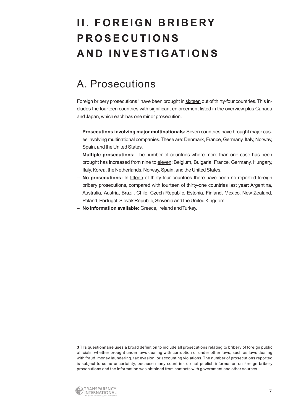# **II. FOREIGN BRIBERY PROSECUTIONS AND INVESTIGATIONS**

### A. Prosecutions

Foreign bribery prosecutions **<sup>3</sup>** have been brought in sixteen out of thirty-four countries.This includes the fourteen countries with significant enforcement listed in the overview plus Canada and Japan, which each has one minor prosecution.

- **Prosecutions involving major multinationals:** Seven countries have brought major cases involving multinational companies.These are:Denmark, France, Germany, Italy, Norway, Spain, and the United States.
- **Multiple prosecutions:** The number of countries where more than one case has been brought has increased from nine to eleven: Belgium, Bulgaria, France, Germany, Hungary, Italy, Korea, the Netherlands, Norway, Spain, and the United States.
- **No prosecutions:** In fifteen of thirty-four countries there have been no reported foreign bribery prosecutions, compared with fourteen of thirty-one countries last year: Argentina, Australia, Austria, Brazil, Chile, Czech Republic, Estonia, Finland, Mexico, New Zealand, Poland, Portugal, Slovak Republic, Slovenia and the United Kingdom.
- **No information available:** Greece, Ireland and Turkey.

**3** TI's questionnaire uses a broad definition to include all prosecutions relating to bribery of foreign public officials, whether brought under laws dealing with corruption or under other laws, such as laws dealing with fraud, money laundering, tax evasion, or accounting violations. The number of prosecutions reported is subject to some uncertainty, because many countries do not publish information on foreign bribery prosecutions and the information was obtained from contacts with government and other sources.

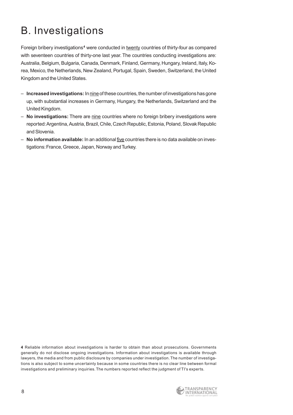# B. Investigations

Foreign bribery investigations**<sup>4</sup>** were conducted in twenty countries of thirty-four as compared with seventeen countries of thirty-one last year. The countries conducting investigations are: Australia, Belgium, Bulgaria, Canada, Denmark, Finland, Germany, Hungary, Ireland, Italy, Korea, Mexico, the Netherlands, New Zealand, Portugal, Spain, Sweden, Switzerland, the United Kingdom and the United States.

- **Increased investigations:** In nine of these countries, the number of investigations has gone up, with substantial increases in Germany, Hungary, the Netherlands, Switzerland and the United Kingdom.
- **No investigations:** There are nine countries where no foreign bribery investigations were reported:Argentina, Austria, Brazil, Chile, Czech Republic, Estonia, Poland, Slovak Republic and Slovenia.
- **No information available:** In an additional five countries there is no data available on investigations:France, Greece, Japan, Norway and Turkey.

**4** Reliable information about investigations is harder to obtain than about prosecutions. Governments generally do not disclose ongoing investigations. Information about investigations is available through lawyers, the media and from public disclosure by companies under investigation.The number of investigations is also subject to some uncertainty because in some countries there is no clear line between formal investigations and preliminary inquiries. The numbers reported reflect the judgment of TI's experts.

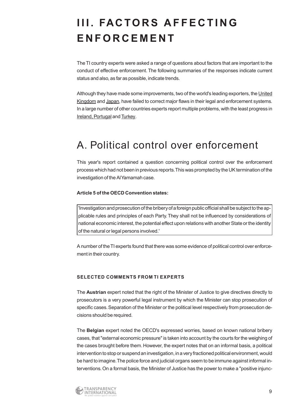# **III. FACTORS AFFECTING ENFORCEMENT**

The TI country experts were asked a range of questions about factors that are important to the conduct of effective enforcement. The following summaries of the responses indicate current status and also, as far as possible, indicate trends.

Although they have made some improvements, two of the world's leading exporters, the United Kingdom and Japan, have failed to correct major flaws in their legal and enforcement systems. In a large number of other countries experts report multiple problems, with the least progress in Ireland, Portugal and Turkey.

### A. Political control over enforcement

This year's report contained a question concerning political control over the enforcement process which had not been in previous reports.This was prompted by the UK termination of the investigation of the Al Yamamah case.

#### **Article 5 of the OECD Convention states:**

'Investigation and prosecution of the bribery of a foreign public official shall be subject to the applicable rules and principles of each Party.They shall not be influenced by considerations of national economic interest, the potential effect upon relations with another State or the identity of the natural or legal persons involved.'

A number of the TI experts found that there was some evidence of political control over enforcement in their country.

#### **SELECTED COMMENTS FROM TI EXPERTS**

The **Austrian** expert noted that the right of the Minister of Justice to give directives directly to prosecutors is a very powerful legal instrument by which the Minister can stop prosecution of specific cases. Separation of the Minister or the political level respectively from prosecution decisions should be required.

The **Belgian** expert noted the OECD's expressed worries, based on known national bribery cases, that "external economic pressure" is taken into account by the courts for the weighing of the cases brought before them. However, the expert notes that on an informal basis, a political intervention to stop or suspend an investigation, in a very fractioned political environment, would be hard to imagine. The police force and judicial organs seem to be immune against informal interventions.On a formal basis, the Minister of Justice has the power to make a "positive injunc-

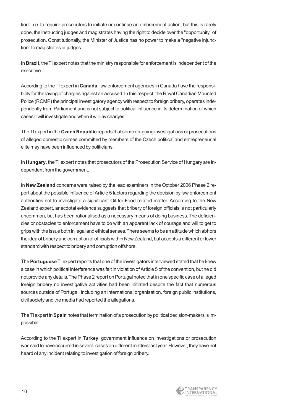tion", i.e. to require prosecutors to initiate or continue an enforcement action, but this is rarely done, the instructing judges and magistrates having the right to decide over the "opportunity" of prosecution. Constitutionally, the Minister of Justice has no power to make a "negative injunction" to magistrates or judges.

In **Brazil**, the TI expert notes that the ministry responsible for enforcement is independent of the executive.

According to the TI expert in **Canada**, law enforcement agencies in Canada have the responsibility for the laying of charges against an accused. In this respect, the Royal Canadian Mounted Police (RCMP) the principal investigatory agency with respect to foreign bribery, operates independently from Parliament and is not subject to political influence in its determination of which cases it will investigate and when it will lay charges.

The TI expert in the **Czech Republic** reports that some on-going investigations or prosecutions of alleged domestic crimes committed by members of the Czech political and entrepreneurial elite may have been influenced by politicians.

In **Hungary**, the TI expert notes that prosecutors of the Prosecution Service of Hungary are independent from the government.

In **New Zealand** concerns were raised by the lead examiners in the October 2006 Phase 2 report about the possible influence of Article 5 factors regarding the decision by law enforcement authorities not to investigate a significant Oil-for-Food related matter. According to the New Zealand expert, anecdotal evidence suggests that bribery of foreign officials is not particularly uncommon, but has been rationalised as a necessary means of doing business.The deficiencies or obstacles to enforcement have to do with an apparent lack of courage and will to get to grips with the issue both in legal and ethical senses.There seems to be an attitude which abhors the idea of bribery and corruption of officials within New Zealand, but accepts a different or lower standard with respect to bribery and corruption offshore.

The **Portuguese**TI expert reports that one of the investigators interviewed stated that he knew a case in which political interference was felt in violation of Article 5 of the convention, but he did not provide any details.The Phase 2 report on Portugal noted that in one specific case of alleged foreign bribery no investigative activities had been initiated despite the fact that numerous sources outside of Portugal, including an international organisation, foreign public institutions, civil society and the media had reported the allegations.

The TI expert in **Spain** notes that termination of a prosecution by political decision-makers is impossible.

According to the TI expert in **Turkey**, government influence on investigations or prosecution was said to have occurred in several cases on different matters last year.However, they have not heard of any incident relating to investigation of foreign bribery.

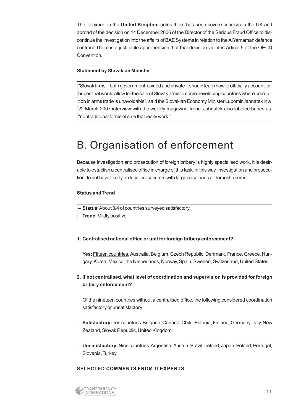The TI expert in the **United Kingdom** notes there has been severe criticism in the UK and abroad of the decision on 14 December 2006 of the Director of the Serious Fraud Office to discontinue the investigation into the affairs of BAE Systems in relation to the Al Yamamah defence contract. There is a justifiable apprehension that that decision violates Article 5 of the OECD Convention.

#### **Statement by Slovakian Minister**

"Slovak firms – both government-owned and private – should learn how to officially account for bribes that would allow for the sale of Slovak arms to some developing countries where corruption in arms trade is unavoidable", said the Slovakian Economy Minister Lubomir Jahnatek in a 22 March 2007 interview with the weekly magazine Trend. Jahnatek also labeled bribes as "nontraditional forms of sale that really work."

### B. Organisation of enforcement

Because investigation and prosecution of foreign bribery is highly specialised work, it is desirable to establish a centralised office in charge of this task. In this way, investigation and prosecution do not have to rely on local prosecutors with large caseloads of domestic crime.

#### **Status and Trend**

|  | - Status About 3/4 of countries surveyed satisfactory |
|--|-------------------------------------------------------|
|--|-------------------------------------------------------|

– **Trend** Mildly positive

#### **1. Centralised national office or unit for foreign bribery enforcement?**

Yes: Fifteen countries. Australia, Belgium, Czech Republic, Denmark, France, Greece, Hungary, Korea, Mexico, the Netherlands, Norway, Spain, Sweden, Switzerland, United States.

#### **2. If not centralised, what level of coordination and supervision is provided for foreign bribery enforcement?**

Of the nineteen countries without a centralised office, the following considered coordination satisfactory or unsatisfactory:

- **Satisfactory:**Ten countries.Bulgaria, Canada, Chile, Estonia, Finland, Germany, Italy, New Zealand, Slovak Republic, United Kingdom.
- **Unsatisfactory:**Nine countries.Argentina, Austria, Brazil, Ireland, Japan, Poland, Portugal, Slovenia, Turkey.

#### **SELECTED COMMENTS FROM TI EXPERTS**

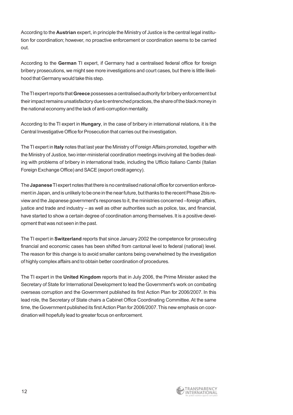According to the **Austrian** expert, in principle the Ministry of Justice is the central legal institution for coordination; however, no proactive enforcement or coordination seems to be carried out.

According to the **German** TI expert, if Germany had a centralised federal office for foreign bribery prosecutions, we might see more investigations and court cases, but there is little likelihood that Germany would take this step.

The TI expert reports that **Greece** possesses a centralised authority for bribery enforcement but their impact remains unsatisfactory due to entrenched practices, the share of the black money in the national economy and the lack of anti-corruption mentality.

According to the TI expert in **Hungary**, in the case of bribery in international relations, it is the Central Investigative Office for Prosecution that carries out the investigation.

The TI expert in **Italy** notes that last year the Ministry of Foreign Affairs promoted, together with the Ministry of Justice, two inter-ministerial coordination meetings involving all the bodies dealing with problems of bribery in international trade, including the Ufficio Italiano Cambi (Italian Foreign Exchange Office) and SACE (export credit agency).

The **Japanese**TI expert notes that there is no centralised national office for convention enforcement in Japan, and is unlikely to be one in the near future, but thanks to the recent Phase 2bis review and the Japanese government's responses to it, the ministries concerned –foreign affairs, justice and trade and industry – as well as other authorities such as police, tax, and financial, have started to show a certain degree of coordination among themselves. It is a positive development that was not seen in the past.

The TI expert in **Switzerland** reports that since January 2002 the competence for prosecuting financial and economic cases has been shifted from cantonal level to federal (national) level. The reason for this change is to avoid smaller cantons being overwhelmed by the investigation of highly complex affairs and to obtain better coordination of procedures.

The TI expert in the **United Kingdom** reports that in July 2006, the Prime Minister asked the Secretary of State for International Development to lead the Government's work on combating overseas corruption and the Government published its first Action Plan for 2006/2007. In this lead role, the Secretary of State chairs a Cabinet Office Coordinating Committee. At the same time, the Government published its first Action Plan for 2006/2007.This new emphasis on coordination will hopefully lead to greater focus on enforcement.

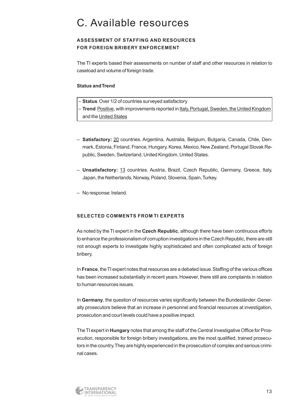### C. Available resources

#### **ASSESSMENT OF STAFFING AND RESOURCES FOR FOREIGN BRIBERY ENFORCEMENT**

The TI experts based their assessments on number of staff and other resources in relation to caseload and volume of foreign trade.

#### **Status and Trend**

- **Status** Over 1/2 of countries surveyed satisfactory
- **Trend** Positive, with improvements reported in Italy, Portugal, Sweden, the United Kingdom and the United States
- **Satisfactory:** 20 countries. Argentina, Australia, Belgium, Bulgaria, Canada, Chile, Denmark, Estonia, Finland, France, Hungary, Korea, Mexico, New Zealand, Portugal Slovak Republic, Sweden, Switzerland, United Kingdom, United States.
- **Unsatisfactory:** 13 countries. Austria, Brazil, Czech Republic, Germany, Greece, Italy, Japan, the Netherlands, Norway, Poland, Slovenia, Spain, Turkey.
- No response: Ireland.

#### **SELECTED COMMENTS FROM TI EXPERTS**

As noted by the TI expert in the **Czech Republic**, although there have been continuous efforts to enhance the professionalism of corruption investigations in the Czech Republic, there are still not enough experts to investigate highly sophisticated and often complicated acts of foreign bribery.

In **France**, the TI expert notes that resources are a debated issue.Staffing of the various offices has been increased substantially in recent years. However, there still are complaints in relation to human resources issues.

In Germany, the question of resources varies significantly between the Bundesländer. Generally prosecutors believe that an increase in personnel and financial resources at investigation, prosecution and court levels could have a positive impact.

The TI expert in **Hungary** notes that among the staff of the Central Investigative Office for Prosecution, responsible for foreign bribery investigations, are the most qualified, trained prosecutors in the country.They are highly experienced in the prosecution of complex and serious criminal cases.

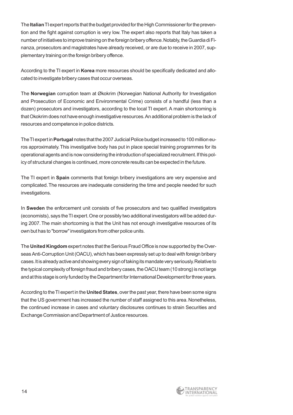The **Italian**TI expert reports that the budget provided for the High Commissioner for the prevention and the fight against corruption is very low. The expert also reports that Italy has taken a number of initiatives to improve training on the foreign bribery offence.Notably, the Guardia di Finanza, prosecutors and magistrates have already received, or are due to receive in 2007, supplementary training on the foreign bribery offence.

According to the TI expert in **Korea** more resources should be specifically dedicated and allocated to investigate bribery cases that occur overseas.

The **Norwegian** corruption team at Økokrim (Norwegian National Authority for Investigation and Prosecution of Economic and Environmental Crime) consists of a handful (less than a dozen) prosecutors and investigators, according to the local TI expert. A main shortcoming is that Okokrim does not have enough investigative resources.An additional problem is the lack of resources and competence in police districts.

The TI expert in **Portugal** notes that the 2007 Judicial Police budget increased to 100 million euros approximately.This investigative body has put in place special training programmes for its operational agents and is now considering the introduction of specialized recruitment.If this policy of structural changes is continued, more concrete results can be expected in the future.

The TI expert in **Spain** comments that foreign bribery investigations are very expensive and complicated.The resources are inadequate considering the time and people needed for such investigations.

In **Sweden** the enforcement unit consists of five prosecutors and two qualified investigators (economists), says the TI expert.One or possibly two additional investigators will be added during 2007. The main shortcoming is that the Unit has not enough investigative resources of its own but has to "borrow" investigators from other police units.

The **United Kingdom** expert notes that the Serious Fraud Office is now supported by the Overseas Anti-Corruption Unit (OACU), which has been expressly set up to deal with foreign bribery cases.It is already active and showing every sign of taking its mandate very seriously.Relative to the typical complexity of foreign fraud and bribery cases, the OACU team (10 strong) is not large and at this stage is only funded by the Department for International Development for three years.

According to the TI expert in the **United States**, over the past year, there have been some signs that the US government has increased the number of staff assigned to this area. Nonetheless, the continued increase in cases and voluntary disclosures continues to strain Securities and Exchange Commission and Department of Justice resources.

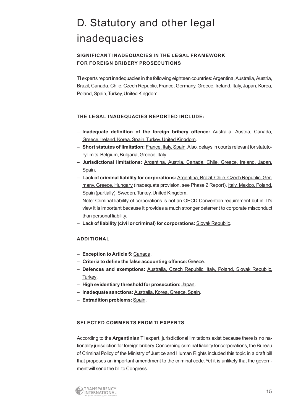# D. Statutory and other legal inadequacies

#### **SIGNIFICANT INADEQUACIES IN THE LEGAL FRAMEWORK FOR FOREIGN BRIBERY PROSECUTIONS**

TI experts report inadequacies in the following eighteen countries:Argentina, Australia, Austria, Brazil, Canada, Chile, Czech Republic, France, Germany, Greece, Ireland, Italy, Japan, Korea, Poland, Spain, Turkey, United Kingdom.

#### **THE LEGAL INADEQUACIES REPORTED INCLUDE:**

- **Inadequate definition of the foreign bribery offence:** Australia, Austria, Canada, Greece, Ireland, Korea, Spain, Turkey, United Kingdom.
- **Short statutes of limitation:** France, Italy, Spain.Also, delays in courts relevant for statutory limits: Belgium, Bulgaria, Greece, Italy.
- **Jurisdictional limitations:** Argentina, Austria, Canada, Chile, Greece, Ireland, Japan, Spain.
- **Lack of criminal liability for corporations:**Argentina, Brazil, Chile, Czech Republic, Germany, Greece, Hungary (inadequate provision, see Phase 2 Report), Italy, Mexico, Poland, Spain (partially), Sweden, Turkey, United Kingdom.

Note: Criminal liability of corporations is not an OECD Convention requirement but in TI's view it is important because it provides a much stronger deterrent to corporate misconduct than personal liability.

– **Lack of liability (civil or criminal) for corporations:** Slovak Republic.

#### **ADDITIONAL**

- **Exception to Article 5:** Canada.
- **Criteria to define the false accounting offence:**Greece.
- **Defences and exemptions:** Australia, Czech Republic, Italy, Poland, Slovak Republic, Turkey.
- **High evidentiary threshold for prosecution:** Japan.
- **Inadequate sanctions:** Australia, Korea, Greece, Spain.
- **Extradition problems:** Spain.

#### **SELECTED COMMENTS FROM TI EXPERTS**

According to the **Argentinian** TI expert, jurisdictional limitations exist because there is no nationality jurisdiction for foreign bribery.Concerning criminal liability for corporations, the Bureau of Criminal Policy of the Ministry of Justice and Human Rights included this topic in a draft bill that proposes an important amendment to the criminal code.Yet it is unlikely that the government will send the bill to Congress.

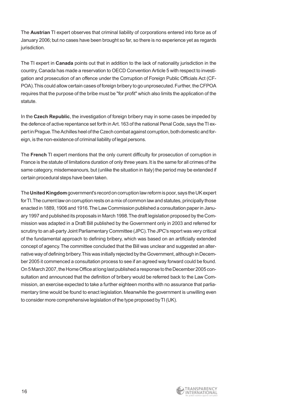The **Austrian** TI expert observes that criminal liability of corporations entered into force as of January 2006; but no cases have been brought so far, so there is no experience yet as regards jurisdiction.

The TI expert in **Canada** points out that in addition to the lack of nationality jurisdiction in the country, Canada has made a reservation to OECD Convention Article 5 with respect to investigation and prosecution of an offence under the Corruption of Foreign Public Officials Act (CF-POA). This could allow certain cases of foreign bribery to go unprosecuted. Further, the CFPOA requires that the purpose of the bribe must be "for profit" which also limits the application of the statute.

In the **Czech Republic**, the investigation of foreign bribery may in some cases be impeded by the defence of active repentance set forth in Art.163 of the national Penal Code, says the TI expert in Prague.The Achilles heel of the Czech combat against corruption, both domestic and foreign, is the non-existence of criminal liability of legal persons.

The **French** TI expert mentions that the only current difficulty for prosecution of corruption in France is the statute of limitations duration of only three years.It is the same for all crimes of the same category, misdemeanours, but (unlike the situation in Italy) the period may be extended if certain procedural steps have been taken.

The **United Kingdom** government's record on corruption law reform is poor, says the UK expert for TI.The current law on corruption rests on a mix of common law and statutes, principally those enacted in 1889, 1906 and 1916.The Law Commission published a consultation paper in January 1997 and published its proposals in March 1998.The draft legislation proposed by the Commission was adapted in a Draft Bill published by the Government only in 2003 and referred for scrutiny to an all-party Joint Parliamentary Committee (JPC).The JPC's report was very critical of the fundamental approach to defining bribery, which was based on an artificially extended concept of agency.The committee concluded that the Bill was unclear and suggested an alternative way of defining bribery.This was initially rejected by the Government, although in December 2005 it commenced a consultation process to see if an agreed way forward could be found. On 5 March 2007, the Home Office at long last published a response to the December 2005 consultation and announced that the definition of bribery would be referred back to the Law Commission, an exercise expected to take a further eighteen months with no assurance that parliamentary time would be found to enact legislation. Meanwhile the government is unwilling even to consider more comprehensive legislation of the type proposed by TI (UK).

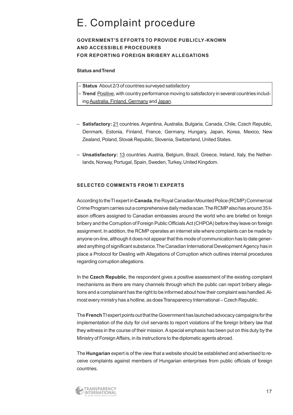### E. Complaint procedure

#### **GOVERNMENT'S EFFORTS TO PROVIDE PUBLICLY-KNOWN AND ACCESSIBLE PROCEDURES FOR REPORTING FOREIGN BRIBERY ALLEGATIONS**

#### **Status and Trend**

– **Status** About 2/3 of countries surveyed satisfactory

– **Trend** Positive, with country performance moving to satisfactory in several countries including Australia, Finland, Germany and Japan.

- **Satisfactory:** 21 countries. Argentina, Australia, Bulgaria, Canada, Chile, Czech Republic, Denmark, Estonia, Finland, France, Germany, Hungary, Japan, Korea, Mexico, New Zealand, Poland, Slovak Republic, Slovenia, Switzerland, United States.
- **Unsatisfactory:** 13 countries. Austria, Belgium, Brazil, Greece, Ireland, Italy, the Netherlands, Norway, Portugal, Spain, Sweden, Turkey, United Kingdom.

#### **SELECTED COMMENTS FROM TI EXPERTS**

According to the TI expert in **Canada**, the Royal Canadian Mounted Police (RCMP) Commercial Crime Program carries out a comprehensive daily media scan.The RCMP also has around 35 liaison officers assigned to Canadian embassies around the world who are briefed on foreign bribery and the Corruption of Foreign Public Officials Act (CHPOA) before they leave on foreign assignment. In addition, the RCMP operates an internet site where complaints can be made by anyone on-line, although it does not appear that this mode of communication has to date generated anything of significant substance.The Canadian International Development Agency has in place a Protocol for Dealing with Allegations of Corruption which outlines internal procedures regarding corruption allegations.

In the **Czech Republic**, the respondent gives a positive assessment of the existing complaint mechanisms as there are many channels through which the public can report bribery allegations and a complainant has the right to be informed about how their complaint was handled.Almost every ministry has a hotline, as does Transparency International – Czech Republic.

The **French**TI expert points out that the Government has launched advocacy campaigns for the implementation of the duty for civil servants to report violations of the foreign bribery law that they witness in the course of their mission.A special emphasis has been put on this duty by the Ministry of Foreign Affairs, in its instructions to the diplomatic agents abroad.

The **Hungarian** expert is of the view that a website should be established and advertised to receive complaints against members of Hungarian enterprises from public officials of foreign countries.

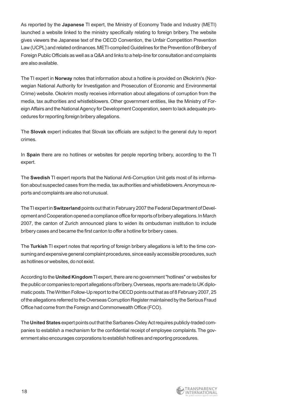As reported by the **Japanese** TI expert, the Ministry of Economy Trade and Industry (METI) launched a website linked to the ministry specifically relating to foreign bribery. The website gives viewers the Japanese text of the OECD Convention, the Unfair Competition Prevention Law (UCPL) and related ordinances.METI-compiled Guidelines for the Prevention of Bribery of Foreign Public Officials as well as a Q&A and links to a help-line for consultation and complaints are also available.

The TI expert in **Norway** notes that information about a hotline is provided on Økokrim's (Norwegian National Authority for Investigation and Prosecution of Economic and Environmental Crime) website. Okokrim mostly receives information about allegations of corruption from the media, tax authorities and whistleblowers. Other government entities, like the Ministry of Foreign Affairs and the National Agency for Development Cooperation, seem to lack adequate procedures for reporting foreign bribery allegations.

The **Slovak** expert indicates that Slovak tax officials are subject to the general duty to report crimes.

In **Spain** there are no hotlines or websites for people reporting bribery, according to the TI expert.

The **Swedish** TI expert reports that the National Anti-Corruption Unit gets most of its information about suspected cases from the media, tax authorities and whistleblowers.Anonymous reports and complaints are also not unusual.

The TI expert in **Switzerland** points out that in February 2007 the Federal Department of Development and Cooperation opened a compliance office for reports of bribery allegations.In March 2007, the canton of Zurich announced plans to widen its ombudsman institution to include bribery cases and became the first canton to offer a hotline for bribery cases.

The **Turkish** TI expert notes that reporting of foreign bribery allegations is left to the time consuming and expensive general complaint procedures, since easily accessible procedures, such as hotlines or websites, do not exist.

According to the **United Kingdom**TI expert, there are no government "hotlines" or websites for the public or companies to report allegations of bribery.Overseas, reports are made to UK diplomatic posts.The Written Follow-Up report to the OECD points out that as of 8 February 2007, 25 of the allegations referred to the Overseas Corruption Register maintained by the Serious Fraud Office had come from the Foreign and Commonwealth Office (FCO).

The **United States** expert points out that the Sarbanes-Oxley Act requires publicly-traded companies to establish a mechanism for the confidential receipt of employee complaints.The government also encourages corporations to establish hotlines and reporting procedures.

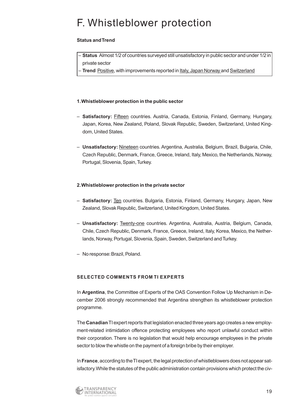### F. Whistleblower protection

#### **Status and Trend**

– **Status** Almost 1/2 of countries surveyed still unsatisfactory in public sector and under 1/2 in private sector

**Trend Positive, with improvements reported in Italy, Japan Norway and Switzerland** 

#### **1.Whistleblower protection in the public sector**

- **Satisfactory:** Fifteen countries. Austria, Canada, Estonia, Finland, Germany, Hungary, Japan, Korea, New Zealand, Poland, Slovak Republic, Sweden, Switzerland, United Kingdom, United States.
- **Unsatisfactory:** Nineteen countries. Argentina, Australia, Belgium, Brazil, Bulgaria, Chile, Czech Republic, Denmark, France, Greece, Ireland, Italy, Mexico, the Netherlands, Norway, Portugal, Slovenia, Spain, Turkey.

#### **2.Whistleblower protection in the private sector**

- **Satisfactory:** Ten countries. Bulgaria, Estonia, Finland, Germany, Hungary, Japan, New Zealand, Slovak Republic, Switzerland, United Kingdom, United States.
- **Unsatisfactory:** Twenty-one countries. Argentina, Australia, Austria, Belgium, Canada, Chile, Czech Republic, Denmark, France, Greece, Ireland, Italy, Korea, Mexico, the Netherlands, Norway, Portugal, Slovenia, Spain, Sweden, Switzerland and Turkey.
- No response:Brazil, Poland.

#### **SELECTED COMMENTS FROM TI EXPERTS**

In **Argentina**, the Committee of Experts of the OAS Convention Follow Up Mechanism in December 2006 strongly recommended that Argentina strengthen its whistleblower protection programme.

The **Canadian**TI expert reports that legislation enacted three years ago creates a new employment-related intimidation offence protecting employees who report unlawful conduct within their corporation. There is no legislation that would help encourage employees in the private sector to blow the whistle on the payment of a foreign bribe by their employer.

In **France**, according to the TI expert, the legal protection of whistleblowers does not appear satisfactory.While the statutes of the public administration contain provisions which protect the civ-

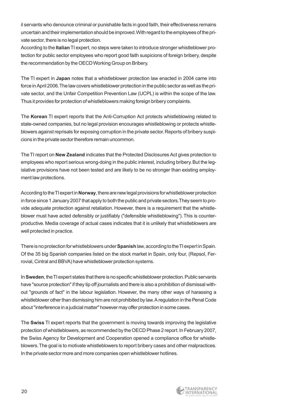il servants who denounce criminal or punishable facts in good faith, their effectiveness remains uncertain and their implementation should be improved.With regard to the employees of the private sector, there is no legal protection.

According to the **Italian**TI expert, no steps were taken to introduce stronger whistleblower protection for public sector employees who report good faith suspicions of foreign bribery, despite the recommendation by the OECD Working Group on Bribery.

The TI expert in **Japan** notes that a whistleblower protection law enacted in 2004 came into force in April 2006.The law covers whistleblower protection in the public sector as well as the private sector, and the Unfair Competition Prevention Law (UCPL) is within the scope of the law. Thus it provides for protection of whistleblowers making foreign bribery complaints.

The **Korean** TI expert reports that the Anti-Corruption Act protects whistleblowing related to state-owned companies, but no legal provision encourages whistleblowing or protects whistleblowers against reprisals for exposing corruption in the private sector. Reports of bribery suspicions in the private sector therefore remain uncommon.

The TI report on **New Zealand** indicates that the Protected Disclosures Act gives protection to employees who report serious wrong-doing in the public interest, including bribery.But the legislative provisions have not been tested and are likely to be no stronger than existing employment law protections.

According to the TI expert in **Norway**, there are new legal provisions for whistleblower protection in force since 1 January 2007 that apply to both the public and private sectors.They seem to provide adequate protection against retaliation. However, there is a requirement that the whistleblower must have acted defensibly or justifiably ("defensible whistleblowing").This is counterproductive. Media coverage of actual cases indicates that it is unlikely that whistleblowers are well protected in practice.

There is no protection for whistleblowers under **Spanish** law, according to the TI expert in Spain. Of the 35 big Spanish companies listed on the stock market in Spain, only four, (Repsol, Ferrovial, Cintral and BBVA) have whistleblower protection systems.

In **Sweden**, the TI expert states that there is no specific whistleblower protection. Public servants have "source protection" if they tip off journalists and there is also a prohibition of dismissal without "grounds of fact" in the labour legislation. However, the many other ways of harassing a whistleblower other than dismissing him are not prohibited by law.A regulation in the Penal Code about "interference in a judicial matter" however may offer protection in some cases.

The **Swiss** TI expert reports that the government is moving towards improving the legislative protection of whistleblowers, as recommended by the OECD Phase 2 report. In February 2007, the Swiss Agency for Development and Cooperation opened a compliance office for whistleblowers.The goal is to motivate whistleblowers to report bribery cases and other malpractices. In the private sector more and more companies open whistleblower hotlines.

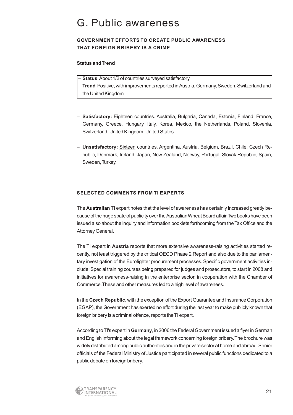### G. Public awareness

#### **GOVERNMENT EFFORTS TO CREATE PUBLIC AWARENESS THAT FOREIGN BRIBERY IS A CRIME**

#### **Status and Trend**

- **Status** About 1/2 of countries surveyed satisfactory
- **Trend** Positive, with improvements reported in Austria, Germany, Sweden, Switzerland and the United Kingdom
- **Satisfactory:** Eighteen countries. Australia, Bulgaria, Canada, Estonia, Finland, France, Germany, Greece, Hungary, Italy, Korea, Mexico, the Netherlands, Poland, Slovenia, Switzerland, United Kingdom, United States.
- **Unsatisfactory:** Sixteen countries. Argentina, Austria, Belgium, Brazil, Chile, Czech Republic, Denmark, Ireland, Japan, New Zealand, Norway, Portugal, Slovak Republic, Spain, Sweden, Turkey.

#### **SELECTED COMMENTS FROM TI EXPERTS**

The **Australian** TI expert notes that the level of awareness has certainly increased greatly because of the huge spate of publicity over the Australian Wheat Board affair.Two books have been issued also about the inquiry and information booklets forthcoming from the Tax Office and the Attorney General.

The TI expert in **Austria** reports that more extensive awareness-raising activities started recently, not least triggered by the critical OECD Phase 2 Report and also due to the parliamentary investigation of the Eurofighter procurement processes. Specific government activities include:Special training courses being prepared for judges and prosecutors, to start in 2008 and initiatives for awareness-raising in the enterprise sector, in cooperation with the Chamber of Commerce.These and other measures led to a high level of awareness.

In the **Czech Republic**, with the exception of the Export Guarantee and Insurance Corporation (EGAP), the Government has exerted no effort during the last year to make publicly known that foreign bribery is a criminal offence, reports the TI expert.

According to TI's expert in **Germany**, in 2006 the Federal Government issued a flyer in German and English informing about the legal framework concerning foreign bribery.The brochure was widely distributed among public authorities and in the private sector at home and abroad.Senior officials of the Federal Ministry of Justice participated in several public functions dedicated to a public debate on foreign bribery.

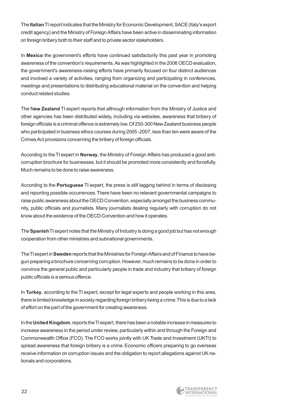The **Italian**TI report indicates that the Ministry for Economic Development, SACE (Italy's export credit agency) and the Ministry of Foreign Affairs have been active in disseminating information on foreign bribery both to their staff and to private sector stakeholders.

In **Mexico** the government's efforts have continued satisfactorily this past year in promoting awareness of the convention's requirements.As was highlighted in the 2006 OECD evaluation, the government's awareness-raising efforts have primarily focused on four distinct audiences and involved a variety of activities, ranging from organizing and participating in conferences, meetings and presentations to distributing educational material on the convention and helping conduct related studies.

The N**ew Zealand** TI expert reports that although information from the Ministry of Justice and other agencies has been distributed widely, including via websites, awareness that bribery of foreign officials is a criminal offence is extremely low.Of 250-300 New Zealand business people who participated in business ethics courses during 2005 -2007, less than ten were aware of the Crimes Act provisions concerning the bribery of foreign officials.

According to the TI expert in **Norway**, the Ministry of Foreign Affairs has produced a good anticorruption brochure for businesses, but it should be promoted more consistently and forcefully. Much remains to be done to raise awareness.

According to the **Portuguese** TI expert, the press is still lagging behind in terms of disclosing and reporting possible occurrences.There have been no relevant governmental campaigns to raise public awareness about the OECD Convention, especially amongst the business community, public officials and journalists. Many journalists dealing regularly with corruption do not know about the existence of the OECD Convention and how it operates.

The **Spanish**TI expert notes that the Ministry of Industry is doing a good job but has not enough cooperation from other ministries and subnational governments.

The TI expert in **Sweden**reports that the Ministries for Foreign Affairs and of Finance to have begun preparing a brochure concerning corruption.However, much remains to be done in order to convince the general public and particularly people in trade and industry that bribery of foreign public officials is a serious offence.

In **Turkey**, according to the TI expert, except for legal experts and people working in this area, there is limited knowledge in society regarding foreign bribery being a crime.This is due to a lack of effort on the part of the government for creating awareness.

In the **United Kingdom**, reports the TI expert, there has been a notable increase in measures to increase awareness in the period under review, particularly within and through the Foreign and Commonwealth Office (FCO).The FCO works jointly with UK Trade and Investment (UKTI) to spread awareness that foreign bribery is a crime. Economic officers preparing to go overseas receive information on corruption issues and the obligation to report allegations against UK nationals and corporations.

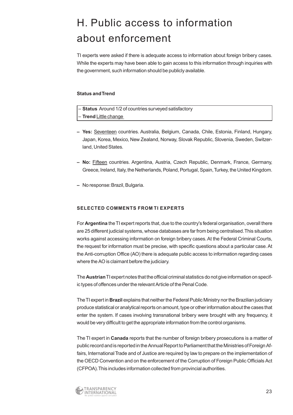# H. Public access to information about enforcement

TI experts were asked if there is adequate access to information about foreign bribery cases. While the experts may have been able to gain access to this information through inquiries with the government, such information should be publicly available.

#### **Status and Trend**

| - Status Around 1/2 of countries surveyed satisfactory |  |
|--------------------------------------------------------|--|
| $\vert$ – Trend Little change                          |  |

- **Yes:** Seventeen countries. Australia, Belgium, Canada, Chile, Estonia, Finland, Hungary, Japan, Korea, Mexico, New Zealand, Norway, Slovak Republic, Slovenia, Sweden, Switzerland, United States.
- **– No:** Fifteen countries. Argentina, Austria, Czech Republic, Denmark, France, Germany, Greece, Ireland, Italy, the Netherlands, Poland, Portugal, Spain, Turkey, the United Kingdom.
- **–** No response:Brazil, Bulgaria.

#### **SELECTED COMMENTS FROM TI EXPERTS**

For **Argentina** the TI expert reports that, due to the country's federal organisation, overall there are 25 different judicial systems, whose databases are far from being centralised.This situation works against accessing information on foreign bribery cases. At the Federal Criminal Courts, the request for information must be precise, with specific questions about a particular case. At the Anti-corruption Office (AO) there is adequate public access to information regarding cases where the AO is claimant before the judiciary.

The **Austrian**TI expert notes that the official criminal statistics do not give information on specific types of offences under the relevant Article of the Penal Code.

The TI expert in **Brazil** explains that neither the Federal Public Ministry nor the Brazilian judiciary produce statistical or analytical reports on amount, type or other information about the cases that enter the system. If cases involving transnational bribery were brought with any frequency, it would be very difficult to get the appropriate information from the control organisms.

The TI expert in **Canada** reports that the number of foreign bribery prosecutions is a matter of public record and is reported in the Annual Report to Parliament that the Ministries of Foreign Affairs, International Trade and of Justice are required by law to prepare on the implementation of the OECD Convention and on the enforcement of the Corruption of Foreign Public Officials Act (CFPOA).This includes information collected from provincial authorities.

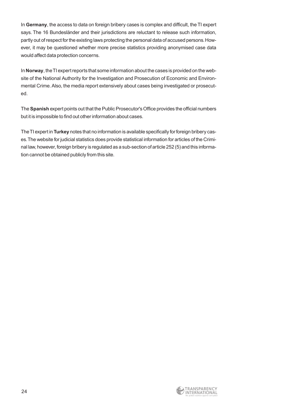In **Germany**, the access to data on foreign bribery cases is complex and difficult, the TI expert says. The 16 Bundesländer and their jurisdictions are reluctant to release such information, partly out of respect for the existing laws protecting the personal data of accused persons.However, it may be questioned whether more precise statistics providing anonymised case data would affect data protection concerns.

In **Norway**, the TI expert reports that some information about the cases is provided on the website of the National Authority for the Investigation and Prosecution of Economic and Environmental Crime. Also, the media report extensively about cases being investigated or prosecuted.

The **Spanish** expert points out that the Public Prosecutor's Office provides the official numbers but it is impossible to find out other information about cases.

The TI expert in **Turkey** notes that no information is available specifically for foreign bribery cases.The website for judicial statistics does provide statistical information for articles of the Criminal law, however, foreign bribery is regulated as a sub-section of article 252 (5) and this information cannot be obtained publicly from this site.

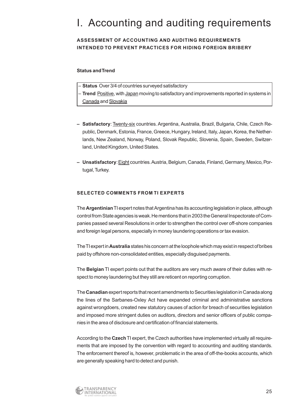### I. Accounting and auditing requirements

#### **ASSESSMENT OF ACCOUNTING AND AUDITING REQUIREMENTS INTENDED TO PREVENT PRACTICES FOR HIDING FOREIGN BRIBERY**

#### **Status and Trend**

| - Status Over 3/4 of countries surveyed satisfactory |
|------------------------------------------------------|
|                                                      |

- **Trend** Positive, with Japan moving to satisfactory and improvements reported in systems in Canada and Slovakia
- **– Satisfactory**: Twenty-six countries. Argentina, Australia, Brazil, Bulgaria, Chile, Czech Republic, Denmark, Estonia, France, Greece, Hungary, Ireland, Italy, Japan, Korea, the Netherlands, New Zealand, Norway, Poland, Slovak Republic, Slovenia, Spain, Sweden, Switzerland, United Kingdom, United States.
- **– Unsatisfactory**:Eight countries.Austria, Belgium, Canada, Finland, Germany, Mexico, Portugal, Turkey.

#### **SELECTED COMMENTS FROM TI EXPERTS**

The **Argentinian**TI expert notes that Argentina has its accounting legislation in place, although control from State agencies is weak.He mentions that in 2003 the General Inspectorate of Companies passed several Resolutions in order to strengthen the control over off-shore companies and foreign legal persons, especially in money laundering operations or tax evasion.

The TI expert in **Australia** states his concern at the loophole which may exist in respect of bribes paid by offshore non-consolidated entities, especially disguised payments.

The **Belgian** TI expert points out that the auditors are very much aware of their duties with respect to money laundering but they still are reticent on reporting corruption.

The **Canadian**expert reports that recent amendments to Securities legislation in Canada along the lines of the Sarbanes-Oxley Act have expanded criminal and administrative sanctions against wrongdoers, created new statutory causes of action for breach of securities legislation and imposed more stringent duties on auditors, directors and senior officers of public companies in the area of disclosure and certification of financial statements.

According to the **Czech**TI expert, the Czech authorities have implemented virtually all requirements that are imposed by the convention with regard to accounting and auditing standards. The enforcement thereof is, however, problematic in the area of off-the-books accounts, which are generally speaking hard to detect and punish.

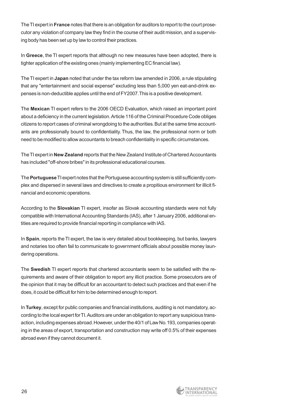The TI expert in **France** notes that there is an obligation for auditors to report to the court prosecutor any violation of company law they find in the course of their audit mission, and a supervising body has been set up by law to control their practices.

In **Greece**, the TI expert reports that although no new measures have been adopted, there is tighter application of the existing ones (mainly implementing EC financial law).

The TI expert in **Japan** noted that under the tax reform law amended in 2006, a rule stipulating that any "entertainment and social expense" excluding less than 5,000 yen eat-and-drink expenses is non-deductible applies until the end of FY2007.This is a positive development.

The **Mexican** TI expert refers to the 2006 OECD Evaluation, which raised an important point about a deficiency in the current legislation. Article 116 of the Criminal Procedure Code obliges citizens to report cases of criminal wrongdoing to the authorities. But at the same time accountants are professionally bound to confidentiality. Thus, the law, the professional norm or both need to be modified to allow accountants to breach confidentiality in specific circumstances.

The TI expert in **New Zealand** reports that the New Zealand Institute of Chartered Accountants has included "off-shore bribes" in its professional educational courses.

The **Portuguese**TI expert notes that the Portuguese accounting system is still sufficiently complex and dispersed in several laws and directives to create a propitious environment for illicit financial and economic operations.

According to the **Slovakian** TI expert, insofar as Slovak accounting standards were not fully compatible with International Accounting Standards (IAS), after 1 January 2006, additional entities are required to provide financial reporting in compliance with IAS.

In **Spain**, reports the TI expert, the law is very detailed about bookkeeping, but banks, lawyers and notaries too often fail to communicate to government officials about possible money laundering operations.

The **Swedish** TI expert reports that chartered accountants seem to be satisfied with the requirements and aware of their obligation to report any illicit practice. Some prosecutors are of the opinion that it may be difficult for an accountant to detect such practices and that even if he does, it could be difficult for him to be determined enough to report.

In **Turkey**, except for public companies and financial institutions, auditing is not mandatory, according to the local expert for TI.Auditors are under an obligation to report any suspicious transaction, including expenses abroad.However, under the 40/1 of Law No.193, companies operating in the areas of export, transportation and construction may write off 0.5% of their expenses abroad even if they cannot document it.

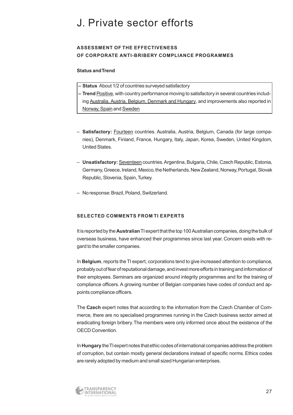### J. Private sector efforts

#### **ASSESSMENT OF THE EFFECTIVENESS OF CORPORATE ANTI-BRIBERY COMPLIANCE PROGRAMMES**

#### **Status and Trend**

- **– Status** About 1/2 of countries surveyed satisfactory
- **Trend** Positive, with country performance moving to satisfactory in several countries including Australia, Austria, Belgium, Denmark and Hungary, and improvements also reported in Norway, Spain and Sweden
- **Satisfactory:** Fourteen countries. Australia, Austria, Belgium, Canada (for large companies), Denmark, Finland, France, Hungary, Italy, Japan, Korea, Sweden, United Kingdom, United States.
- **Unsatisfactory:** Seventeen countries.Argentina, Bulgaria, Chile, Czech Republic, Estonia, Germany, Greece, Ireland, Mexico, the Netherlands, New Zealand, Norway, Portugal, Slovak Republic, Slovenia, Spain, Turkey.
- No response:Brazil, Poland, Switzerland.

#### **SELECTED COMMENTS FROM TI EXPERTS**

It is reported by the **Australian**TI expert that the top 100 Australian companies, doing the bulk of overseas business, have enhanced their programmes since last year. Concern exists with regard to the smaller companies.

In **Belgium**, reports the TI expert, corporations tend to give increased attention to compliance, probably out of fear of reputational damage, and invest more efforts in training and information of their employees. Seminars are organized around integrity programmes and for the training of compliance officers. A growing number of Belgian companies have codes of conduct and appoints compliance officers.

The **Czech** expert notes that according to the information from the Czech Chamber of Commerce, there are no specialised programmes running in the Czech business sector aimed at eradicating foreign bribery.The members were only informed once about the existence of the OECD Convention.

In **Hungary** the TI expert notes that ethic codes of international companies address the problem of corruption, but contain mostly general declarations instead of specific norms. Ethics codes are rarely adopted by medium and small sized Hungarian enterprises.

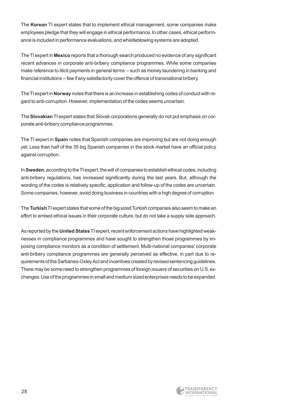The **Korean** TI expert states that to implement ethical management, some companies make employees pledge that they will engage in ethical performance.In other cases, ethical performance is included in performance evaluations, and whistleblowing systems are adopted.

The TI expert in **Mexico** reports that a thorough search produced no evidence of any significant recent advances in corporate anti-bribery compliance programmes. While some companies make reference to illicit payments in general terms -- such as money laundering in banking and financial institutions -- few if any satisfactorily cover the offence of transnational bribery.

The TI expert in **Norway** notes that there is an increase in establishing codes of conduct with regard to anti-corruption. However, implementation of the codes seems uncertain.

The **Slovakian**TI expert states that Slovak corporations generally do not put emphasis on corporate anti-bribery compliance programmes.

The TI expert in **Spain** notes that Spanish companies are improving but are not doing enough yet. Less than half of the 35 big Spanish companies in the stock market have an official policy against corruption.

In **Sweden**, according to the TI expert, the will of companies to establish ethical codes, including anti-bribery regulations, has increased significantly during the last years. But, although the wording of the codes is relatively specific, application and follow-up of the codes are uncertain. Some companies, however, avoid doing business in countries with a high degree of corruption.

The **Turkish**TI expert states that some of the big sized Turkish companies also seem to make an effort to embed ethical issues in their corporate culture, but do not take a supply side approach.

As reported by the **United States**TI expert, recent enforcement actions have highlighted weaknesses in compliance programmes and have sought to strengthen those programmes by imposing compliance monitors as a condition of settlement. Multi-national companies' corporate anti-bribery compliance programmes are generally perceived as effective, in part due to requirements of the Sarbanes-Oxley Act and incentives created by revised sentencing guidelines. There may be some need to strengthen programmes of foreign issuers of securities on U.S.exchanges.Use of the programmes in small and medium sized enterprises needs to be expanded.

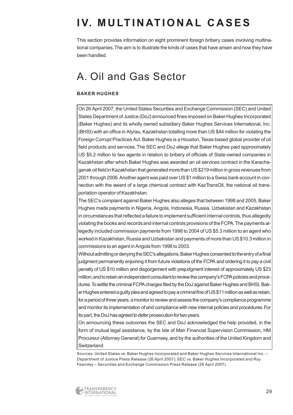# **IV. MULTINATIONAL CASES**

This section provides information on eight prominent foreign bribery cases involving multinational companies.The aim is to illustrate the kinds of cases that have arisen and how they have been handled.

### A. Oil and Gas Sector

#### **BAKER HUGHES**

On 26 April 2007, the United States Securities and Exchange Commission (SEC) and United States Department of Justice (DoJ) announced fines imposed on Baker Hughes Incorporated (Baker Hughes) and its wholly owned subsidiary Baker Hughes Services International, Inc. (BHSI) with an office in Atyrau, Kazakhstan totalling more than US \$44 million for violating the Foreign Corrupt Practices Act.Baker Hughes is a Houston, Texas-based global provider of oil field products and services.The SEC and DoJ allege that Baker Hughes paid approximately US \$5.2 million to two agents in relation to bribery of officials of State-owned companies in Kazakhstan after which Baker Hughes was awarded an oil services contract in the Karachaganak oil field in Kazakhstan that generated more than US \$219 million in gross revenues from 2001 through 2006.Another agent was paid over US \$1 million to a Swiss bank account in connection with the award of a large chemical contract with KazTransOil, the national oil transportation operator of Kazakhstan.

The SEC's complaint against Baker Hughes also alleges that between 1998 and 2005, Baker Hughes made payments in Nigeria, Angola, Indonesia, Russia, Uzbekistan and Kazakhstan in circumstances that reflected a failure to implement sufficient internal controls, thus allegedly violating the books and records and internal controls provisions of the FCPA.The payments allegedly included commission payments from 1998 to 2004 of US \$5.3 million to an agent who worked in Kazakhstan, Russia and Uzbekistan and payments of more than US \$10.3 million in commissions to an agent in Angola from 1998 to 2003.

Without admitting or denying the SEC's allegations, Baker Hughes consented to the entry of a final judgment permanently enjoining it from future violations of the FCPA and ordering it to pay a civil penalty of US \$10 million and disgorgement with prejudgment interest of approximately US \$23 million;and to retain an independent consultant to review the company's FCPA policies and procedures.To settle the criminal FCPA charges filed by the DoJ against Baker Hughes and BHSI, Baker Hughes entered a guilty plea and agreed to pay a criminal fine of US \$11 million as well as retain, for a period of three years, a monitor to review and assess the company's compliance programme and monitor its implementation of and compliance with new internal policies and procedures.For its part, the DoJ has agreed to defer prosecution for two years.

On announcing these outcomes the SEC and DoJ acknowledged the help provided, in the form of mutual legal assistance, by the Isle of Man Financial Supervision Commission, HM Procureur (Attorney General) for Guernsey, and by the authorities of the United Kingdom and Switzerland.

Sources: United States vs. Baker Hughes Incorporated and Baker Hughes Services International Inc. – Department of Justice Press Release (26 April 2007); SEC vs. Baker Hughes Incorporated and Roy Fearnley – Securities and Exchange Commission Press Release (26 April 2007)

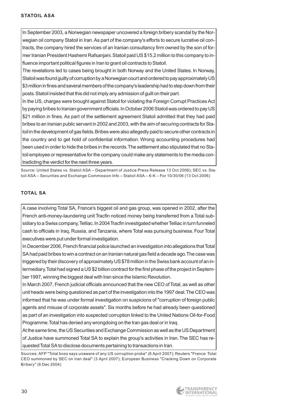In September 2003, a Norwegian newspaper uncovered a foreign bribery scandal by the Norwegian oil company Statoil in Iran. As part of the company's efforts to secure lucrative oil contracts, the company hired the services of an Iranian consultancy firm owned by the son of former Iranian President Hashemi Rafsanjani. Statoil paid US \$15.2 million to this company to influence important political figures in Iran to grant oil contracts to Statoil.

The revelations led to cases being brought in both Norway and the United States. In Norway, Statoil was found guilty of corruption by a Norwegian court and ordered to pay approximately US \$3 million in fines and several members of the company's leadership had to step down from their posts.Statoil insisted that this did not imply any admission of guilt on their part.

In the US, charges were brought against Statoil for violating the Foreign Corrupt Practices Act by paying bribes to Iranian government officials. In October 2006 Statoil was ordered to pay US \$21 million in fines. As part of the settlement agreement Statoil admitted that they had paid bribes to an Iranian public servant in 2002 and 2003, with the aim of securing contracts for Statoil in the development of gas fields. Bribes were also allegedly paid to secure other contracts in the country and to get hold of confidential information. Wrong accounting procedures had been used in order to hide the bribes in the records.The settlement also stipulated that no Statoil employee or representative for the company could make any statements to the media contradicting the verdict for the next three years.

Source: United States vs. Statoil ASA – Department of Justice Press Release 13 Oct 2006); SEC vs. Statoil ASA – Securities and Exchange Commission Info – Statoil ASA – 6-K – For 10/30/06 (13 Oct 2006)

#### **TOTAL SA**

A case involving Total SA, France's biggest oil and gas group, was opened in 2002, after the French anti-money-laundering unit Tracfin noticed money being transferred from a Total subsidiary to a Swiss company, Telliac. In 2004 Tracfin investigated whether Telliac in turn funneled cash to officials in Iraq, Russia, and Tanzania, where Total was pursuing business. Four Total executives were put under formal investigation.

In December 2006, French financial police launched an investigation into allegations that Total SA had paid bribes to win a contract on an Iranian natural gas field a decade ago.The case was triggered by their discovery of approximately US \$78 million in the Swiss bank account of an intermediary.Total had signed a US \$2 billion contract for the first phase of the project in September 1997, winning the biggest deal with Iran since the Islamic Revolution.

In March 2007, French judicial officials announced that the new CEO of Total, as well as other unit heads were being questioned as part of the investigation into the 1997 deal.The CEO was informed that he was under formal investigation on suspicions of "corruption of foreign public agents and misuse of corporate assets". Six months before he had already been questioned as part of an investigation into suspected corruption linked to the United Nations Oil-for-Food Programme.Total has denied any wrongdoing on the Iran gas deal or in Iraq.

At the same time, the US Securities and Exchange Commission as well as the US Department of Justice have summoned Total SA to explain the group's activities in Iran.The SEC has requested Total SA to disclose documents pertaining to transactions in Iran.

Sources: AFP "Total boss says unaware of any US corruption probe" (6 April 2007); Reuters "France: Total CEO summoned by SEC on Iran deal" (3 April 2007); European Business "Cracking Down on Corporate Bribery" (6 Dec 2004)

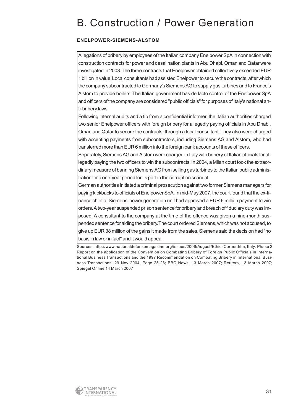### B. Construction / Power Generation

#### **ENELPOWER-SIEMENS-ALSTOM**

Allegations of bribery by employees of the Italian company Enelpower SpA in connection with construction contracts for power and desalination plants in Abu Dhabi, Oman and Qatar were investigated in 2003.The three contracts that Enelpower obtained collectively exceeded EUR 1 billion in value.Local consultants had assisted Enelpower to secure the contracts, after which the company subcontracted to Germany's Siemens AG to supply gas turbines and to France's Alstom to provide boilers.The Italian government has de facto control of the Enelpower SpA and officers of the company are considered "public officials" for purposes of Italy's national anti-bribery laws.

Following internal audits and a tip from a confidential informer, the Italian authorities charged two senior Enelpower officers with foreign bribery for allegedly paying officials in Abu Dhabi, Oman and Qatar to secure the contracts, through a local consultant.They also were charged with accepting payments from subcontractors, including Siemens AG and Alstom, who had transferred more than EUR 6 million into the foreign bank accounts of these officers.

Separately, Siemens AG and Alstom were charged in Italy with bribery of Italian officials for allegedly paying the two officers to win the subcontracts.In 2004, a Milan court took the extraordinary measure of banning Siemens AG from selling gas turbines to the Italian public administration for a one-year period for its part in the corruption scandal.

German authorities initiated a criminal prosecution against two former Siemens managers for paying kickbacks to officials of Enelpower SpA.In mid-May 2007, the court found that the ex-finance chief at Siemens' power generation unit had approved a EUR 6 million payment to win orders.A two-year suspended prison sentence for bribery and breach of fiduciary duty was imposed. A consultant to the company at the time of the offence was given a nine-month suspended sentence for aiding the bribery.The court ordered Siemens, which was not accused, to give up EUR 38 million of the gains it made from the sales.Siemens said the decision had "no basis in law or in fact" and it would appeal.

Sources: http://www.nationaldefensemagazine.org/issues/2006/August/EthicsCorner.htm; Italy: Phase 2 Report on the application of the Convention on Combating Bribery of Foreign Public Officials in International Business Transactions and the 1997 Recommendation on Combating Bribery in International Business Transactions, 29 Nov 2004, Page 25-26; BBC News, 13 March 2007; Reuters, 13 March 2007; Spiegel Online 14 March 2007

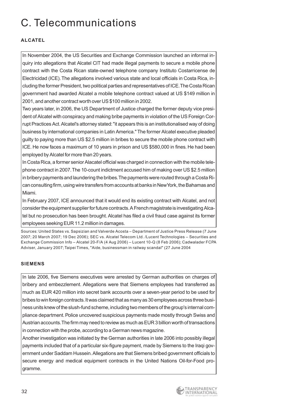# C. Telecommunications

#### **ALCATEL**

In November 2004, the US Securities and Exchange Commission launched an informal inquiry into allegations that Alcatel CIT had made illegal payments to secure a mobile phone contract with the Costa Rican state-owned telephone company Instituto Costarricense de Electricidad (ICE).The allegations involved various state and local officials in Costa Rica, including the former President, two political parties and representatives of ICE.The Costa Rican government had awarded Alcatel a mobile telephone contract valued at US \$149 million in 2001, and another contract worth over US \$100 million in 2002.

Two years later, in 2006, the US Department of Justice charged the former deputy vice president of Alcatel with conspiracy and making bribe payments in violation of the US Foreign Corrupt Practices Act.Alcatel's attorney stated:"it appears this is an institutionalised way of doing business by international companies in Latin America." The former Alcatel executive pleaded guilty to paying more than US \$2.5 million in bribes to secure the mobile phone contract with ICE. He now faces a maximum of 10 years in prison and US \$580,000 in fines. He had been employed by Alcatel for more than 20 years.

In Costa Rica, a former senior Alacatel official was charged in connection with the mobile telephone contract in 2007.The 10-count indictment accused him of making over US \$2.5 million in bribery payments and laundering the bribes.The payments were routed through a Costa Rican consulting firm, using wire transfers from accounts at banks in New York, the Bahamas and Miami.

In February 2007, ICE announced that it would end its existing contract with Alcatel, and not consider the equipment supplier for future contracts.A French magistrate is investigating Alcatel but no prosecution has been brought. Alcatel has filed a civil fraud case against its former employees seeking EUR 11.2 million in damages.

Sources: United States vs. Sapsizian and Valverde Acosta – Department of Justice Press Release (7 June 2007; 20 March 2007; 19 Dec 2006); SEC vs. Alcatel Telecom Ltd. /Lucent Technologies – Securities and Exchange Commission Info – Alcatel 20-F/A (4 Aug 2006) – Lucent 10-Q (8 Feb 2006); Cadwalader FCPA Adviser, January 2007; Taipei Times, "Aide, businessman in railway scandal" (27 June 2004

#### **SIEMENS**

In late 2006, five Siemens executives were arrested by German authorities on charges of bribery and embezzlement. Allegations were that Siemens employees had transferred as much as EUR 420 million into secret bank accounts over a seven-year period to be used for bribes to win foreign contracts.It was claimed that as many as 30 employees across three business units knew of the slush-fund scheme, including two members of the group's internal compliance department. Police uncovered suspicious payments made mostly through Swiss and Austrian accounts.The firm may need to review as much as EUR 3 billion worth of transactions in connection with the probe, according to a German news magazine.

Another investigation was initiated by the German authorities in late 2006 into possibly illegal payments included that of a particular six-figure payment, made by Siemens to the Iraqi government under Saddam Hussein.Allegations are that Siemens bribed government officials to secure energy and medical equipment contracts in the United Nations Oil-for-Food programme.

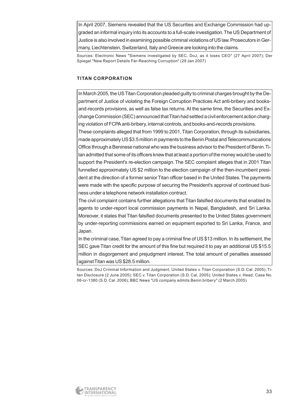In April 2007, Siemens revealed that the US Securities and Exchange Commission had upgraded an informal inquiry into its accounts to a full-scale investigation.The US Department of Justice is also involved in examining possible criminal violations of US law.Prosecutors in Germany, Liechtenstein, Switzerland, Italy and Greece are looking into the claims.

Sources: Electronic News "Siemens investigated by SEC, DoJ, as it loses CEO" (27 April 2007); Der Spiegel "New Report Details Far-Reaching Corruption" (29 Jan 2007)

#### **TITAN CORPORATION**

In March 2005, the US Titan Corporation pleaded guilty to criminal charges brought by the Department of Justice of violating the Foreign Corruption Practices Act anti-bribery and booksand-records provisions, as well as false tax returns. At the same time, the Securities and Exchange Commission (SEC) announced that Titan had settled a civil enforcement action charging violation of FCPA anti-bribery, internal controls, and books-and-records provisions.

These complaints alleged that from 1999 to 2001, Titan Corporation, through its subsidiaries, made approximately US \$3.5 million in payments to the Benin Postal and Telecommunications Office through a Beninese national who was the business advisor to the President of Benin.Titan admitted that some of its officers knew that at least a portion of the money would be used to support the President's re-election campaign. The SEC complaint alleges that in 2001 Titan funnelled approximately US \$2 million to the election campaign of the then-incumbent president at the direction of a former senior Titan officer based in the United States.The payments were made with the specific purpose of securing the President's approval of continued business under a telephone network installation contract.

The civil complaint contains further allegations that Titan falsified documents that enabled its agents to under-report local commission payments in Nepal, Bangladesh, and Sri Lanka. Moreover, it states that Titan falsified documents presented to the United States government by under-reporting commissions earned on equipment exported to Sri Lanka, France, and Japan.

In the criminal case, Titan agreed to pay a criminal fine of US \$13 million. In its settlement, the SEC gave Titan credit for the amount of this fine but required it to pay an additional US \$15.5 million in disgorgement and prejudgment interest. The total amount of penalties assessed against Titan was US \$28.5 million.

Sources: DoJ Criminal Information and Judgment, United States v. Titan Corporation (S.D. Cal. 2005); Titan Disclosure (2 June 2005); SEC v. Titan Corporation (S.D. Cal. 2005); United States v. Head, Case No. 06-cr-1380 (S.D. Cal. 2006); BBC News "US company admits Benin bribery" (2 March 2005)

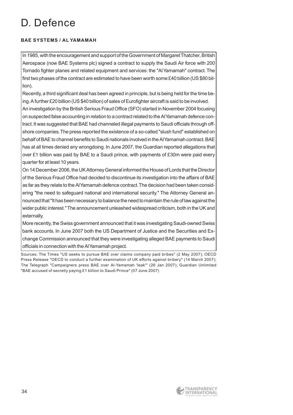### D. Defence

#### **BAE SYSTEMS / AL YAMAMAH**

In 1985, with the encouragement and support of the Government of Margaret Thatcher, British Aerospace (now BAE Systems plc) signed a contract to supply the Saudi Air force with 200 Tornado fighter planes and related equipment and services: the "Al Yamamah" contract.The first two phases of the contract are estimated to have been worth some £40 billion (US \$80 billion).

Recently, a third significant deal has been agreed in principle, but is being held for the time being.A further £20 billion (US \$40 billion) of sales of Eurofighter aircraft is said to be involved.

An investigation by the British Serious Fraud Office (SFO) started in November 2004 focusing on suspected false accounting in relation to a contract related to the Al Yamamah defence contract. It was suggested that BAE had channeled illegal payments to Saudi officials through offshore companies.The press reported the existence of a so-called "slush fund" established on behalf of BAE to channel benefits to Saudi nationals involved in the Al Yamamah contract. BAE has at all times denied any wrongdoing. In June 2007, the Guardian reported allegations that over £1 billion was paid by BAE to a Saudi prince, with payments of £30m were paid every quarter for at least 10 years.

On 14 December 2006, the UK Attorney General informed the House of Lords that the Director of the Serious Fraud Office had decided to discontinue its investigation into the affairs of BAE as far as they relate to the Al Yamamah defence contract.The decision had been taken considering "the need to safeguard national and international security." The Attorney General announced that "It has been necessary to balance the need to maintain the rule of law against the wider public interest." The announcement unleashed widespread criticism, both in the UK and externally.

More recently, the Swiss government announced that it was investigating Saudi-owned Swiss bank accounts. In June 2007 both the US Department of Justice and the Securities and Exchange Commission announced that they were investigating alleged BAE payments to Saudi officials in connection with the Al Yamamah project.

Sources: The Times "US seeks to pursue BAE over claims company paid bribes" (2 May 2007); OECD Press Release "OECD to conduct a further examination of UK efforts against bribery" (14 March 2007); The Telegraph "Campaigners press BAE over Al-Yamamah 'leak'" (26 Jan 2007); Guardian Unlimited "BAE accused of secretly paying £1 billion to Saudi Prince" (07 June 2007)

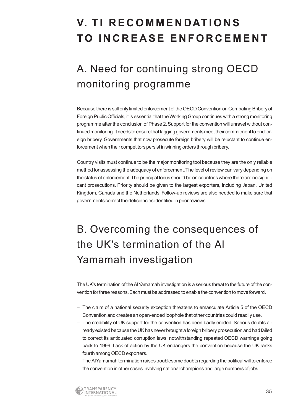# **V. TI RECOMMENDATIONS TO INCREASE ENFORCEMENT**

# A. Need for continuing strong OECD monitoring programme

Because there is still only limited enforcement of the OECD Convention on Combating Bribery of Foreign Public Officials, it is essential that the Working Group continues with a strong monitoring programme after the conclusion of Phase 2.Support for the convention will unravel without continued monitoring. It needs to ensure that lagging governments meet their commitment to end foreign bribery. Governments that now prosecute foreign bribery will be reluctant to continue enforcement when their competitors persist in winning orders through bribery.

Country visits must continue to be the major monitoring tool because they are the only reliable method for assessing the adequacy of enforcement.The level of review can vary depending on the status of enforcement.The principal focus should be on countries where there are no significant prosecutions. Priority should be given to the largest exporters, including Japan, United Kingdom, Canada and the Netherlands. Follow-up reviews are also needed to make sure that governments correct the deficiencies identified in prior reviews.

# B. Overcoming the consequences of the UK's termination of the Al Yamamah investigation

The UK's termination of the Al Yamamah investigation is a serious threat to the future of the convention for three reasons.Each must be addressed to enable the convention to move forward.

- The claim of a national security exception threatens to emasculate Article 5 of the OECD Convention and creates an open-ended loophole that other countries could readily use.
- The credibility of UK support for the convention has been badly eroded. Serious doubts already existed because the UK has never brought a foreign bribery prosecution and had failed to correct its antiquated corruption laws, notwithstanding repeated OECD warnings going back to 1999. Lack of action by the UK endangers the convention because the UK ranks fourth among OECD exporters.
- The Al Yamamah termination raises troublesome doubts regarding the political will to enforce the convention in other cases involving national champions and large numbers of jobs.

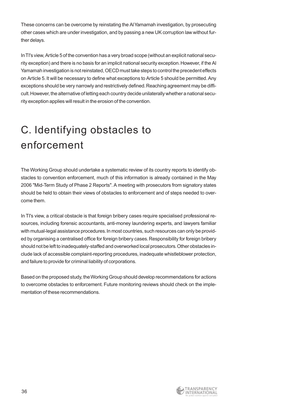These concerns can be overcome by reinstating the Al Yamamah investigation, by prosecuting other cases which are under investigation, and by passing a new UK corruption law without further delays.

In TI's view, Article 5 of the convention has a very broad scope (without an explicit national security exception) and there is no basis for an implicit national security exception. However, if the Al Yamamah investigation is not reinstated, OECD must take steps to control the precedent effects on Article 5.It will be necessary to define what exceptions to Article 5 should be permitted.Any exceptions should be very narrowly and restrictively defined. Reaching agreement may be difficult.However, the alternative of letting each country decide unilaterally whether a national security exception applies will result in the erosion of the convention.

# C. Identifying obstacles to enforcement

The Working Group should undertake a systematic review of its country reports to identify obstacles to convention enforcement, much of this information is already contained in the May 2006 "Mid-Term Study of Phase 2 Reports". A meeting with prosecutors from signatory states should be held to obtain their views of obstacles to enforcement and of steps needed to overcome them.

In TI's view, a critical obstacle is that foreign bribery cases require specialised professional resources, including forensic accountants, anti-money laundering experts, and lawyers familiar with mutual-legal assistance procedures. In most countries, such resources can only be provided by organising a centralised office for foreign bribery cases.Responsibility for foreign bribery should not be left to inadequately-staffed and overworked local prosecutors.Other obstacles include lack of accessible complaint-reporting procedures, inadequate whistleblower protection, and failure to provide for criminal liability of corporations.

Based on the proposed study, the Working Group should develop recommendations for actions to overcome obstacles to enforcement. Future monitoring reviews should check on the implementation of these recommendations.

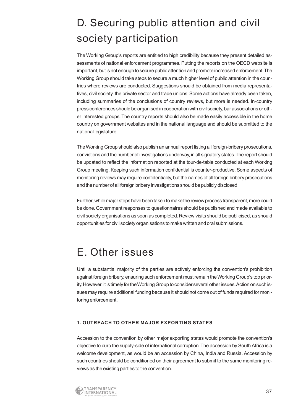# D. Securing public attention and civil society participation

The Working Group's reports are entitled to high credibility because they present detailed assessments of national enforcement programmes. Putting the reports on the OECD website is important, but is not enough to secure public attention and promote increased enforcement.The Working Group should take steps to secure a much higher level of public attention in the countries where reviews are conducted. Suggestions should be obtained from media representatives, civil society, the private sector and trade unions. Some actions have already been taken, including summaries of the conclusions of country reviews, but more is needed. In-country press conferences should be organised in cooperation with civil society, bar associations or other interested groups.The country reports should also be made easily accessible in the home country on government websites and in the national language and should be submitted to the national legislature.

The Working Group should also publish an annual report listing all foreign-bribery prosecutions, convictions and the number of investigations underway, in all signatory states.The report should be updated to reflect the information reported at the tour-de-table conducted at each Working Group meeting. Keeping such information confidential is counter-productive. Some aspects of monitoring reviews may require confidentiality, but the names of all foreign bribery prosecutions and the number of all foreign bribery investigations should be publicly disclosed.

Further, while major steps have been taken to make the review process transparent, more could be done.Government responses to questionnaires should be published and made available to civil society organisations as soon as completed.Review visits should be publicised, as should opportunities for civil society organisations to make written and oral submissions.

### E. Other issues

Until a substantial majority of the parties are actively enforcing the convention's prohibition against foreign bribery, ensuring such enforcement must remain the Working Group's top priority. However, it is timely for the Working Group to consider several other issues. Action on such issues may require additional funding because it should not come out of funds required for monitoring enforcement.

#### **1. OUTREACH TO OTHER MAJOR EXPORTING STATES**

Accession to the convention by other major exporting states would promote the convention's objective to curb the supply-side of international corruption.The accession by South Africa is a welcome development, as would be an accession by China, India and Russia. Accession by such countries should be conditioned on their agreement to submit to the same monitoring reviews as the existing parties to the convention.

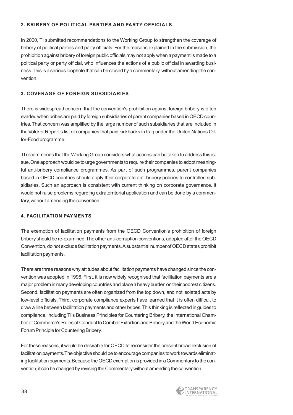#### **2. BRIBERY OF POLITICAL PARTIES AND PARTY OFFICIALS**

In 2000, TI submitted recommendations to the Working Group to strengthen the coverage of bribery of political parties and party officials. For the reasons explained in the submission, the prohibition against bribery of foreign public officials may not apply when a payment is made to a political party or party official, who influences the actions of a public official in awarding business.This is a serious loophole that can be closed by a commentary, without amending the convention.

#### **3. COVERAGE OF FOREIGN SUBSIDIARIES**

There is widespread concern that the convention's prohibition against foreign bribery is often evaded when bribes are paid by foreign subsidiaries of parent companies based in OECD countries.That concern was amplified by the large number of such subsidiaries that are included in the Volcker Report's list of companies that paid kickbacks in Iraq under the United Nations Oilfor-Food programme.

TI recommends that the Working Group considers what actions can be taken to address this issue.One approach would be to urge governments to require their companies to adopt meaningful anti-bribery compliance programmes. As part of such programmes, parent companies based in OECD countries should apply their corporate anti-bribery policies to controlled subsidiaries. Such an approach is consistent with current thinking on corporate governance. It would not raise problems regarding extraterritorial application and can be done by a commentary, without amending the convention.

#### **4. FACILITATION PAYMENTS**

The exemption of facilitation payments from the OECD Convention's prohibition of foreign bribery should be re-examined.The other anti-corruption conventions, adopted after the OECD Convention, do not exclude facilitation payments.A substantial number of OECD states prohibit facilitation payments.

There are three reasons why attitudes about facilitation payments have changed since the convention was adopted in 1996. First, it is now widely recognised that facilitation payments are a major problem in many developing countries and place a heavy burden on their poorest citizens. Second, facilitation payments are often organized from the top down, and not isolated acts by low-level officials. Third, corporate compliance experts have learned that it is often difficult to draw a line between facilitation payments and other bribes.This thinking is reflected in guides to compliance, including TI's Business Principles for Countering Bribery, the International Chamber of Commerce's Rules of Conduct to Combat Extortion and Bribery and the World Economic Forum Principle for Countering Bribery.

For these reasons, it would be desirable for OECD to reconsider the present broad exclusion of facilitation payments.The objective should be to encourage companies to work towards eliminating facilitation payments.Because the OECD exemption is provided in a Commentary to the convention, it can be changed by revising the Commentary without amending the convention.

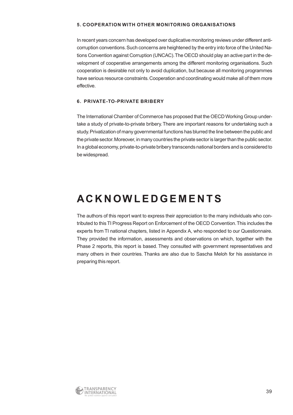#### **5. COOPERATION WITH OTHER MONITORING ORGANISATIONS**

In recent years concern has developed over duplicative monitoring reviews under different anticorruption conventions.Such concerns are heightened by the entry into force of the United Nations Convention against Corruption (UNCAC). The OECD should play an active part in the development of cooperative arrangements among the different monitoring organisations. Such cooperation is desirable not only to avoid duplication, but because all monitoring programmes have serious resource constraints. Cooperation and coordinating would make all of them more effective.

#### **6. PRIVATE-TO-PRIVATE BRIBERY**

The International Chamber of Commerce has proposed that the OECD Working Group undertake a study of private-to-private bribery. There are important reasons for undertaking such a study. Privatization of many governmental functions has blurred the line between the public and the private sector.Moreover, in many countries the private sector is larger than the public sector. In a global economy, private-to-private bribery transcends national borders and is considered to be widespread.

### **ACKNOWLEDGEMENTS**

The authors of this report want to express their appreciation to the many individuals who contributed to this TI Progress Report on Enforcement of the OECD Convention.This includes the experts from TI national chapters, listed in Appendix A, who responded to our Questionnaire. They provided the information, assessments and observations on which, together with the Phase 2 reports, this report is based. They consulted with government representatives and many others in their countries. Thanks are also due to Sascha Meloh for his assistance in preparing this report.

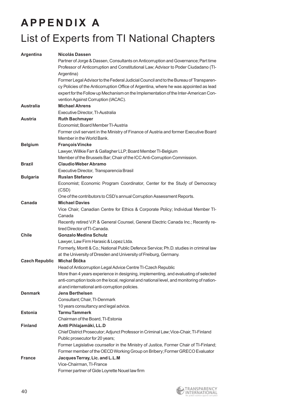# **APPENDIX A** List of Experts from TI National Chapters

| <b>Argentina</b>      | Nicolás Dassen                                                                                                                                                                                                                                                                                               |
|-----------------------|--------------------------------------------------------------------------------------------------------------------------------------------------------------------------------------------------------------------------------------------------------------------------------------------------------------|
|                       | Partner of Jorge & Dassen, Consultants on Anticorruption and Governance; Part time                                                                                                                                                                                                                           |
|                       | Professor of Anticorruption and Constitutional Law; Advisor to Poder Ciudadano (TI-<br>Argentina)                                                                                                                                                                                                            |
|                       | Former Legal Advisor to the Federal Judicial Council and to the Bureau of Transparen-<br>cy Policies of the Anticorruption Office of Argentina, where he was appointed as lead<br>expert for the Follow up Mechanism on the Implementation of the Inter-American Con-<br>vention Against Corruption (IACAC). |
| <b>Australia</b>      | <b>Michael Ahrens</b>                                                                                                                                                                                                                                                                                        |
|                       | Executive Director, TI-Australia                                                                                                                                                                                                                                                                             |
| <b>Austria</b>        | <b>Ruth Bachmayer</b>                                                                                                                                                                                                                                                                                        |
|                       | Economist; Board Member TI-Austria<br>Former civil servant in the Ministry of Finance of Austria and former Executive Board<br>Member in the World Bank.                                                                                                                                                     |
| <b>Belgium</b>        | <b>François Vincke</b>                                                                                                                                                                                                                                                                                       |
|                       | Lawyer, Willkie Farr & Gallagher LLP; Board Member TI-Belgium                                                                                                                                                                                                                                                |
|                       | Member of the Brussels Bar; Chair of the ICC Anti-Corruption Commission.                                                                                                                                                                                                                                     |
| <b>Brazil</b>         | <b>Claudio Weber Abramo</b>                                                                                                                                                                                                                                                                                  |
|                       | Executive Director, Transparencia Brasil                                                                                                                                                                                                                                                                     |
| <b>Bulgaria</b>       | <b>Ruslan Stefanov</b>                                                                                                                                                                                                                                                                                       |
|                       | Economist; Economic Program Coordinator, Center for the Study of Democracy<br>(CSD)                                                                                                                                                                                                                          |
|                       | One of the contributors to CSD's annual Corruption Assessment Reports.                                                                                                                                                                                                                                       |
| Canada                | <b>Michael Davies</b>                                                                                                                                                                                                                                                                                        |
|                       | Vice Chair, Canadian Centre for Ethics & Corporate Policy; Individual Member TI-                                                                                                                                                                                                                             |
|                       | Canada                                                                                                                                                                                                                                                                                                       |
|                       | Recently retired V.P. & General Counsel, General Electric Canada Inc.; Recently re-                                                                                                                                                                                                                          |
|                       | tired Director of TI-Canada.                                                                                                                                                                                                                                                                                 |
| <b>Chile</b>          | <b>Gonzalo Medina Schulz</b>                                                                                                                                                                                                                                                                                 |
|                       | Lawyer, Law Firm Harasic & Lopez Ltda.                                                                                                                                                                                                                                                                       |
|                       | Formerly, Montt & Co.; National Public Defence Service; Ph.D. studies in criminal law                                                                                                                                                                                                                        |
| <b>Czech Republic</b> | at the University of Dresden and University of Freiburg, Germany.<br>Michal Štička                                                                                                                                                                                                                           |
|                       | Head of Anticorruption Legal Advice Centre TI-Czech Republic                                                                                                                                                                                                                                                 |
|                       | More than 4 years experience in designing, implementing, and evaluating of selected                                                                                                                                                                                                                          |
|                       | anti-corruption tools on the local, regional and national level, and monitoring of nation-                                                                                                                                                                                                                   |
|                       | al and international anti-corruption policies.                                                                                                                                                                                                                                                               |
| <b>Denmark</b>        | <b>Jens Berthelsen</b>                                                                                                                                                                                                                                                                                       |
|                       | Consultant; Chair, TI-Denmark                                                                                                                                                                                                                                                                                |
|                       | 10 years consultancy and legal advice.                                                                                                                                                                                                                                                                       |
| <b>Estonia</b>        | <b>Tarmu Tammerk</b>                                                                                                                                                                                                                                                                                         |
|                       | Chairman of the Board, TI-Estonia                                                                                                                                                                                                                                                                            |
| <b>Finland</b>        | Antti Pihlajamäki, LL.D                                                                                                                                                                                                                                                                                      |
|                       | Chief District Prosecutor; Adjunct Professor in Criminal Law; Vice-Chair, TI-Finland                                                                                                                                                                                                                         |
|                       | Public prosecutor for 20 years;                                                                                                                                                                                                                                                                              |
|                       | Former Legislative counsellor in the Ministry of Justice, Former Chair of TI-Finland;                                                                                                                                                                                                                        |
|                       | Former member of the OECD Working Group on Bribery; Former GRECO Evaluator                                                                                                                                                                                                                                   |
| <b>France</b>         | Jacques Terray, Lic. and L.L.M                                                                                                                                                                                                                                                                               |
|                       | Vice-Chairman, TI-France                                                                                                                                                                                                                                                                                     |
|                       | Former partner of Gide Loyrette Nouel law firm                                                                                                                                                                                                                                                               |

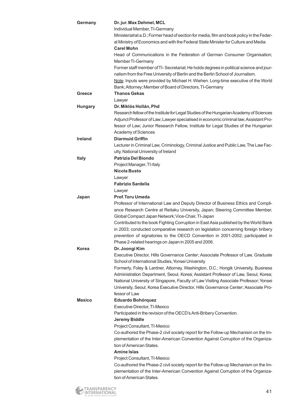| Germany        | Dr. jur. Max Dehmel, MCL<br>Individual Member, TI-Germany<br>Ministerialrat a.D.; Former head of section for media, film and book policy in the Feder-<br>al Ministry of Economics and with the Federal State Minister for Culture and Media<br><b>Carel Mohn</b>                              |
|----------------|------------------------------------------------------------------------------------------------------------------------------------------------------------------------------------------------------------------------------------------------------------------------------------------------|
|                | Head of Communications in the Federation of German Consumer Organisation;<br>Member TI-Germany                                                                                                                                                                                                 |
|                | Former staff member of TI- Secretariat. He holds degrees in political science and jour-<br>nalism from the Free University of Berlin and the Berlin School of Journalism.<br>Note: Inputs were provided by Michael H. Wiehen. Long-time executive of the World                                 |
| Greece         | Bank; Attorney; Member of Board of Directors, TI-Germany<br><b>Thanos Gekas</b>                                                                                                                                                                                                                |
|                | Lawyer                                                                                                                                                                                                                                                                                         |
| <b>Hungary</b> | Dr. Miklós Hollán, Phd                                                                                                                                                                                                                                                                         |
|                | Research fellow of the Institute for Legal Studies of the Hungarian Academy of Sciences<br>Adjunct Professor of Law; Lawyer specialised in economic criminal law; Assistant Pro-<br>fessor of Law; Junior Research Fellow, Institute for Legal Studies of the Hungarian<br>Academy of Sciences |
| <b>Ireland</b> | <b>Diarmuid Griffin</b>                                                                                                                                                                                                                                                                        |
|                | Lecturer in Criminal Law, Criminology, Criminal Justice and Public Law, The Law Fac-<br>ulty, National University of Ireland                                                                                                                                                                   |
| <b>Italy</b>   | <b>Patrizia Del Biondo</b>                                                                                                                                                                                                                                                                     |
|                | Project Manager, TI-Italy                                                                                                                                                                                                                                                                      |
|                | Nicola Busto                                                                                                                                                                                                                                                                                   |
|                | Lawyer<br><b>Fabrizio Sardella</b>                                                                                                                                                                                                                                                             |
|                |                                                                                                                                                                                                                                                                                                |
| Japan          | Lawyer<br><b>Prof. Toru Umeda</b>                                                                                                                                                                                                                                                              |
|                | Professor of International Law and Deputy Director of Business Ethics and Compli-                                                                                                                                                                                                              |
|                | ance Research Centre at Reitaku University, Japan; Steering Committee Member,                                                                                                                                                                                                                  |
|                | Global Compact Japan Network; Vice-Chair, TI-Japan                                                                                                                                                                                                                                             |
|                | Contributed to the book Fighting Corruption in East Asia published by the World Bank                                                                                                                                                                                                           |
|                | in 2003; conducted comparative research on legislation concerning foreign bribery                                                                                                                                                                                                              |
|                | prevention of signatories to the OECD Convention in 2001-2002; participated in                                                                                                                                                                                                                 |
|                | Phase 2-related hearings on Japan in 2005 and 2006.                                                                                                                                                                                                                                            |
| Korea          | Dr. Joongi Kim                                                                                                                                                                                                                                                                                 |
|                | Executive Director, Hills Governance Center; Associate Professor of Law, Graduate                                                                                                                                                                                                              |
|                | School of International Studies, Yonsei University                                                                                                                                                                                                                                             |
|                | Formerly, Foley & Lardner, Attorney, Washington, D.C.; Hongik University, Business<br>Administration Department, Seoul, Korea; Assistant Professor of Law, Seoul, Korea;                                                                                                                       |
|                | National University of Singapore, Faculty of Law Visiting Associate Professor; Yonsei                                                                                                                                                                                                          |
|                | University, Seoul, Korea Executive Director, Hills Governance Center; Associate Pro-                                                                                                                                                                                                           |
|                | fessor of Law                                                                                                                                                                                                                                                                                  |
| <b>Mexico</b>  | Eduardo Bohórquez                                                                                                                                                                                                                                                                              |
|                | Executive Director, TI-Mexico                                                                                                                                                                                                                                                                  |
|                | Participated in the revision of the OECD's Anti-Bribery Convention.                                                                                                                                                                                                                            |
|                | <b>Jeremy Biddle</b>                                                                                                                                                                                                                                                                           |
|                | Project Consultant, TI-Mexico                                                                                                                                                                                                                                                                  |
|                | Co-authored the Phase-2 civil society report for the Follow-up Mechanism on the Im-                                                                                                                                                                                                            |
|                | plementation of the Inter-American Convention Against Corruption of the Organiza-                                                                                                                                                                                                              |
|                | tion of American States.                                                                                                                                                                                                                                                                       |
|                | <b>Amine Islas</b>                                                                                                                                                                                                                                                                             |
|                | Project Consultant, TI-Mexico<br>Co-authored the Phase-2 civil society report for the Follow-up Mechanism on the Im-                                                                                                                                                                           |
|                | plementation of the Inter-American Convention Against Corruption of the Organiza-                                                                                                                                                                                                              |
|                | tion of American States.                                                                                                                                                                                                                                                                       |

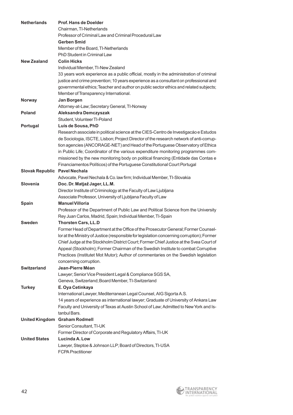| <b>Netherlands</b>            | Prof. Hans de Doelder<br>Chairman, TI-Netherlands                                                                              |
|-------------------------------|--------------------------------------------------------------------------------------------------------------------------------|
|                               | Professor of Criminal Law and Criminal Procedural Law                                                                          |
|                               | <b>Gerben Smid</b>                                                                                                             |
|                               | Member of the Board, TI-Netherlands                                                                                            |
|                               | PhD Student in Criminal Law                                                                                                    |
| <b>New Zealand</b>            | <b>Colin Hicks</b>                                                                                                             |
|                               | Individual Member, TI-New Zealand                                                                                              |
|                               | 33 years work experience as a public official, mostly in the administration of criminal                                        |
|                               | justice and crime prevention; 10 years experience as a consultant on professional and                                          |
|                               | governmental ethics; Teacher and author on public sector ethics and related subjects;<br>Member of Transparency International. |
| <b>Norway</b>                 | Jan Borgen                                                                                                                     |
|                               | Attorney-at-Law; Secretary General, TI-Norway                                                                                  |
| <b>Poland</b>                 | <b>Aleksandra Demczyszak</b>                                                                                                   |
|                               | Student, Volunteer TI-Poland                                                                                                   |
| Portugal                      | Luís de Sousa, PhD                                                                                                             |
|                               | Research associate in political science at the CIES-Centro de Investigacáo e Estudos                                           |
|                               | de Sociologia, ISCTE, Lisbon; Project Director of the research network of anti-corrup-                                         |
|                               | tion agencies (ANCORAGE-NET) and Head of the Portuguese Observatory of Ethica                                                  |
|                               | in Public Life; Coordinator of the various expenditure monitoring programmes com-                                              |
|                               | missioned by the new monitoring body on political financing (Entidade das Contas e                                             |
|                               | Financiamentos Políticos) of the Portuguese Constitutional Court Portugal                                                      |
| Slovak Republic Pavel Nechala |                                                                                                                                |
|                               | Advocate, Pavel Nechala & Co. law firm; Individual Member, TI-Slovakia                                                         |
| Slovenia                      | Doc. Dr. Matjaž Jager, LL.M.                                                                                                   |
|                               | Director Institute of Criminology at the Faculty of Law Ljubljana                                                              |
|                               | Associate Professor, University of Ljubljana Faculty of Law                                                                    |
| Spain                         | <b>Manuel Villoria</b>                                                                                                         |
|                               | Professor of the Department of Public Law and Political Science from the University                                            |
| <b>Sweden</b>                 | Rey Juan Carlos, Madrid, Spain; Individual Member, TI-Spain                                                                    |
|                               | <b>Thorsten Cars, LL.D</b><br>Former Head of Department at the Office of the Prosecutor General; Former Counsel-               |
|                               | lor at the Ministry of Justice (responsible for legislation concerning corruption); Former                                     |
|                               | Chief Judge at the Stockholm District Court; Former Chief Justice at the Svea Court of                                         |
|                               | Appeal (Stockholm); Former Chairman of the Swedish Institute to combat Corruptive                                              |
|                               | Practices (Institutet Mot Mutor); Author of commentaries on the Swedish legislation                                            |
|                               | concerning corruption.                                                                                                         |
| <b>Switzerland</b>            | Jean-Pierre Méan                                                                                                               |
|                               | Lawyer; Senior Vice President Legal & Compliance SGS SA,                                                                       |
|                               | Geneva, Switzerland; Board Member, TI-Switzerland                                                                              |
| <b>Turkey</b>                 | E. Oya Cetinkaya                                                                                                               |
|                               | International Lawyer, Mediterranean Legal Counsel, AIG Sigorta A.S.                                                            |
|                               | 14 years of experience as international lawyer; Graduate of University of Ankara Law                                           |
|                               | Faculty and University of Texas at Austin School of Law; Admitted to New York and Is-                                          |
|                               | tanbul Bars.                                                                                                                   |
|                               | United Kingdom Graham Rodmell                                                                                                  |
|                               | Senior Consultant, TI-UK                                                                                                       |
|                               | Former Director of Corporate and Regulatory Affairs, TI-UK                                                                     |
| <b>United States</b>          | Lucinda A. Low                                                                                                                 |
|                               | Lawyer, Steptoe & Johnson LLP; Board of Directors, TI-USA<br><b>FCPA Practitioner</b>                                          |
|                               |                                                                                                                                |

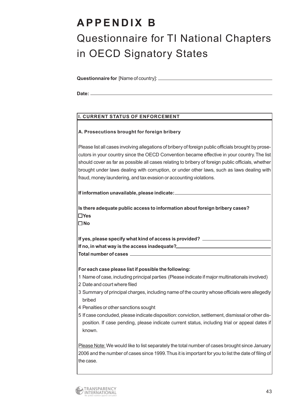### **APPENDIX B**

# Questionnaire for TI National Chapters in OECD Signatory States

**Questionnaire for** [Name of country]:

**Date:**

#### **I. CURRENT STATUS OF ENFORCEMENT**

#### **A. Prosecutions brought for foreign bribery**

Please list all cases involving allegations of bribery of foreign public officials brought by prosecutors in your country since the OECD Convention became effective in your country.The list should cover as far as possible all cases relating to bribery of foreign public officials, whether brought under laws dealing with corruption, or under other laws, such as laws dealing with fraud, money laundering, and tax evasion or accounting violations.

**If information unavailable, please indicate:**

**Is there adequate public access to information about foreign bribery cases? Yes** 

**No**

**If yes, please specify what kind of access is provided? If no, in what way is the access inadequate?**

**Total number of cases**

**For each case please list if possible the following:**

- 1 Name of case, including principal parties (Please indicate if major multinationals involved)
- 2 Date and court where filed
- 3 Summary of principal charges, including name of the country whose officials were allegedly bribed
- 4 Penalties or other sanctions sought
- 5 If case concluded, please indicate disposition: conviction, settlement, dismissal or other disposition. If case pending, please indicate current status, including trial or appeal dates if known.

Please Note: We would like to list separately the total number of cases brought since January 2006 and the number of cases since 1999.Thus it is important for you to list the date of filing of the case.

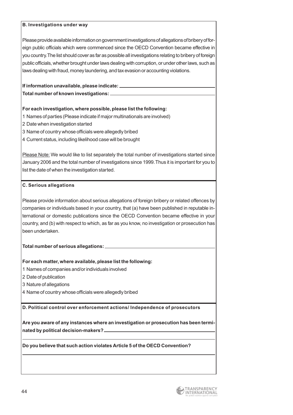#### **B. Investigations under way**

Please provide available information on government investigations of allegations of bribery of foreign public officials which were commenced since the OECD Convention became effective in you country.The list should cover as far as possible all investigations relating to bribery of foreign public officials, whether brought under laws dealing with corruption, or under other laws, such as laws dealing with fraud, money laundering, and tax evasion or accounting violations.

#### **If information unavailable, please indicate:**

**Total number of known investigations:**

#### **For each investigation, where possible, please list the following:**

- 1 Names of parties (Please indicate if major multinationals are involved)
- 2 Date when investigation started
- 3 Name of country whose officials were allegedly bribed
- 4 Current status, including likelihood case will be brought

Please Note: We would like to list separately the total number of investigations started since January 2006 and the total number of investigations since 1999.Thus it is important for you to list the date of when the investigation started.

#### **C. Serious allegations**

Please provide information about serious allegations of foreign bribery or related offences by companies or individuals based in your country, that (a) have been published in reputable international or domestic publications since the OECD Convention became effective in your country, and (b) with respect to which, as far as you know, no investigation or prosecution has been undertaken.

#### **Total number of serious allegations:**

#### **For each matter, where available, please list the following:**

- 1 Names of companies and/or individuals involved
- 2 Date of publication
- 3 Nature of allegations
- 4 Name of country whose officials were allegedly bribed

**D. Political control over enforcement actions/ Independence of prosecutors**

**Are you aware of any instances where an investigation or prosecution has been terminated by political decision-makers?**

**Do you believe that such action violates Article 5 of the OECD Convention?**

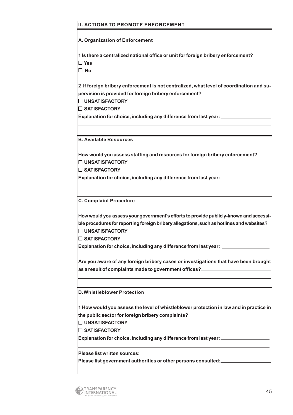#### **II. ACTIONS TO PROMOTE ENFORCEMENT**

**A. Organization of Enforcement**

**1 Is there a centralized national office or unit for foreign bribery enforcement? Yes** 

**No**

**2 If foreign bribery enforcement is not centralized, what level of coordination and supervision is provided for foreign bribery enforcement?**

**UNSATISFACTORY** 

**SATISFACTORY**

**Explanation for choice, including any difference from last year:**

**B. Available Resources** 

**How would you assess staffing and resources for foreign bribery enforcement? UNSATISFACTORY** 

**SATISFACTORY**

**Explanation for choice, including any difference from last year:**

**C. Complaint Procedure**

**How would you assess your government's efforts to provide publicly-known and accessible procedures for reporting foreign bribery allegations,such as hotlines and websites? UNSATISFACTORY** 

**SATISFACTORY**

**Explanation for choice, including any difference from last year:**

**Are you aware of any foreign bribery cases or investigations that have been brought as a result of complaints made to government offices?** 

**D.Whistleblower Protection**

**1 How would you assess the level of whistleblower protection in law and in practice in the public sector for foreign bribery complaints?** 

**UNSATISFACTORY** 

**SATISFACTORY**

**Explanation for choice, including any difference from last year:**

**Please list written sources:**

**Please list government authorities or other persons consulted:**

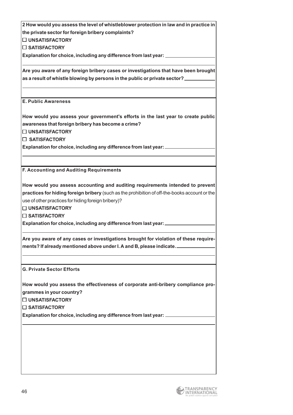**2 How would you assess the level of whistleblower protection in law and in practice in the private sector for foreign bribery complaints?** 

**UNSATISFACTORY** 

**SATISFACTORY**

**Explanation for choice, including any difference from last year:**

**Are you aware of any foreign bribery cases or investigations that have been brought as a result of whistle blowing by persons in the public or private sector?**

**E. Public Awareness**

**How would you assess your government's efforts in the last year to create public awareness that foreign bribery has become a crime?**

**UNSATISFACTORY** 

**SATISFACTORY**

**Explanation for choice, including any difference from last year:**

**F. Accounting and Auditing Requirements**

**How would you assess accounting and auditing requirements intended to prevent practices for hiding foreign bribery** (such as the prohibition of off-the-books account or the use of other practices for hiding foreign bribery)?

**UNSATISFACTORY** 

**SATISFACTORY**

**Explanation for choice, including any difference from last year:**

**Are you aware of any cases or investigations brought for violation of these requirements? If already mentioned above under I. A and B, please indicate.**

**G. Private Sector Efforts**

**How would you assess the effectiveness of corporate anti-bribery compliance programmes in your country?**

**UNSATISFACTORY** 

**SATISFACTORY**

**Explanation for choice, including any difference from last year:**

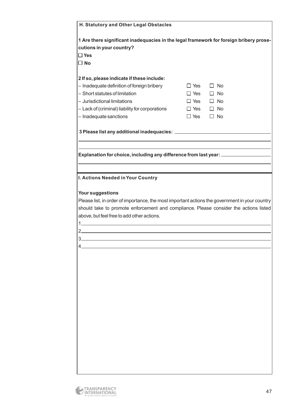| H. Statutory and Other Legal Obstacles                                                                                              |                         |
|-------------------------------------------------------------------------------------------------------------------------------------|-------------------------|
| 1 Are there significant inadequacies in the legal framework for foreign bribery prose-                                              |                         |
| cutions in your country?                                                                                                            |                         |
| $\square$ Yes                                                                                                                       |                         |
| $\square$ No                                                                                                                        |                         |
|                                                                                                                                     |                         |
| 2 If so, please indicate if these include:                                                                                          |                         |
| - Inadequate definition of foreign bribery                                                                                          | $\Box$ No<br>$\Box$ Yes |
| - Short statutes of limitation                                                                                                      | $\Box$ Yes<br>$\Box$ No |
| - Jurisdictional limitations                                                                                                        | $\Box$ Yes $\Box$ No    |
| - Lack of (criminal) liability for corporations                                                                                     | $\Box$ No<br>$\Box$ Yes |
| - Inadequate sanctions                                                                                                              | $\Box$ Yes<br>$\Box$ No |
|                                                                                                                                     |                         |
|                                                                                                                                     |                         |
|                                                                                                                                     |                         |
|                                                                                                                                     |                         |
| Explanation for choice, including any difference from last year: _______________                                                    |                         |
|                                                                                                                                     |                         |
|                                                                                                                                     |                         |
| I. Actions Needed in Your Country                                                                                                   |                         |
| should take to promote enforcement and compliance. Please consider the actions listed<br>above, but feel free to add other actions. |                         |
|                                                                                                                                     |                         |
| 2.                                                                                                                                  |                         |
| 3.                                                                                                                                  |                         |
|                                                                                                                                     |                         |
|                                                                                                                                     |                         |
|                                                                                                                                     |                         |
|                                                                                                                                     |                         |
|                                                                                                                                     |                         |
|                                                                                                                                     |                         |
|                                                                                                                                     |                         |
|                                                                                                                                     |                         |
|                                                                                                                                     |                         |
|                                                                                                                                     |                         |
|                                                                                                                                     |                         |
|                                                                                                                                     |                         |
|                                                                                                                                     |                         |
|                                                                                                                                     |                         |
|                                                                                                                                     |                         |
|                                                                                                                                     |                         |
|                                                                                                                                     |                         |
|                                                                                                                                     |                         |
|                                                                                                                                     |                         |

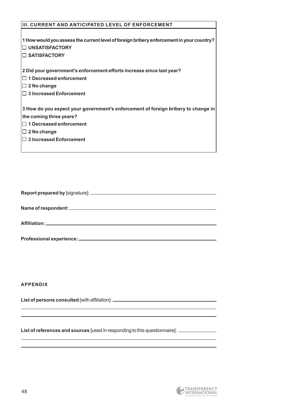| <b>III. CURRENT AND ANTICIPATED LEVEL OF ENFORCEMENT</b>                                 |
|------------------------------------------------------------------------------------------|
|                                                                                          |
| 1 How would you assess the current level of foreign bribery enforcement in your country? |
| $\Box$ UNSATISFACTORY                                                                    |
| $\Box$ SATISFACTORY                                                                      |
|                                                                                          |
| 2 Did your government's enforcement efforts increase since last year?                    |
| $\Box$ 1 Decreased enforcement                                                           |
| $\Box$ 2 No change                                                                       |
| $\Box$ 3 Increased Enforcement                                                           |
|                                                                                          |
| 3 How do you expect your government's enforcement of foreign bribery to change in        |
| the coming three years?                                                                  |
| $\Box$ 1 Decreased enforcement                                                           |
| $\Box$ 2 No change                                                                       |
| $\Box$ 3 Increased Enforcement                                                           |
|                                                                                          |

| Report prepared by [signature]: _ |  |
|-----------------------------------|--|
|                                   |  |

**Name of respondent:**

**Affiliation:**

| Professional experience:_ |  |  |
|---------------------------|--|--|
|                           |  |  |

**APPENDIX** 

List of persons consulted [with affiliation]: \_\_\_\_\_\_\_\_\_\_\_\_\_\_\_\_\_\_\_\_\_\_\_\_\_\_\_\_\_\_\_\_\_\_\_

**List of references and sources** [used in responding to this questionnaire]: